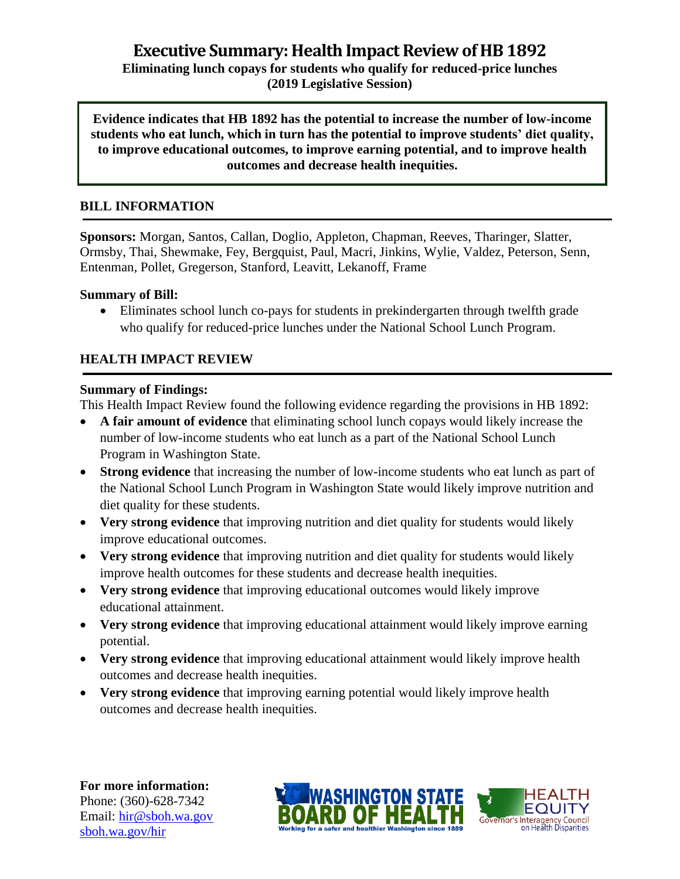**(2019 Legislative Session)**

**Evidence indicates that HB 1892 has the potential to increase the number of low-income students who eat lunch, which in turn has the potential to improve students' diet quality, to improve educational outcomes, to improve earning potential, and to improve health outcomes and decrease health inequities.**

## **BILL INFORMATION**

**Sponsors:** Morgan, Santos, Callan, Doglio, Appleton, Chapman, Reeves, Tharinger, Slatter, Ormsby, Thai, Shewmake, Fey, Bergquist, Paul, Macri, Jinkins, Wylie, Valdez, Peterson, Senn, Entenman, Pollet, Gregerson, Stanford, Leavitt, Lekanoff, Frame

#### **Summary of Bill:**

 Eliminates school lunch co-pays for students in prekindergarten through twelfth grade who qualify for reduced-price lunches under the National School Lunch Program.

#### **HEALTH IMPACT REVIEW**

#### **Summary of Findings:**

This Health Impact Review found the following evidence regarding the provisions in HB 1892:

- **A fair amount of evidence** that eliminating school lunch copays would likely increase the number of low-income students who eat lunch as a part of the National School Lunch Program in Washington State.
- **Strong evidence** that increasing the number of low-income students who eat lunch as part of the National School Lunch Program in Washington State would likely improve nutrition and diet quality for these students.
- **Very strong evidence** that improving nutrition and diet quality for students would likely improve educational outcomes.
- **Very strong evidence** that improving nutrition and diet quality for students would likely improve health outcomes for these students and decrease health inequities.
- **Very strong evidence** that improving educational outcomes would likely improve educational attainment.
- **Very strong evidence** that improving educational attainment would likely improve earning potential.
- **Very strong evidence** that improving educational attainment would likely improve health outcomes and decrease health inequities.
- **Very strong evidence** that improving earning potential would likely improve health outcomes and decrease health inequities.

**For more information:** Phone: (360)-628-7342 Email: [hir@sboh.wa.gov](mailto:hir@sboh.wa.gov) [sboh.wa.gov/](http://sboh.wa.gov/)hir



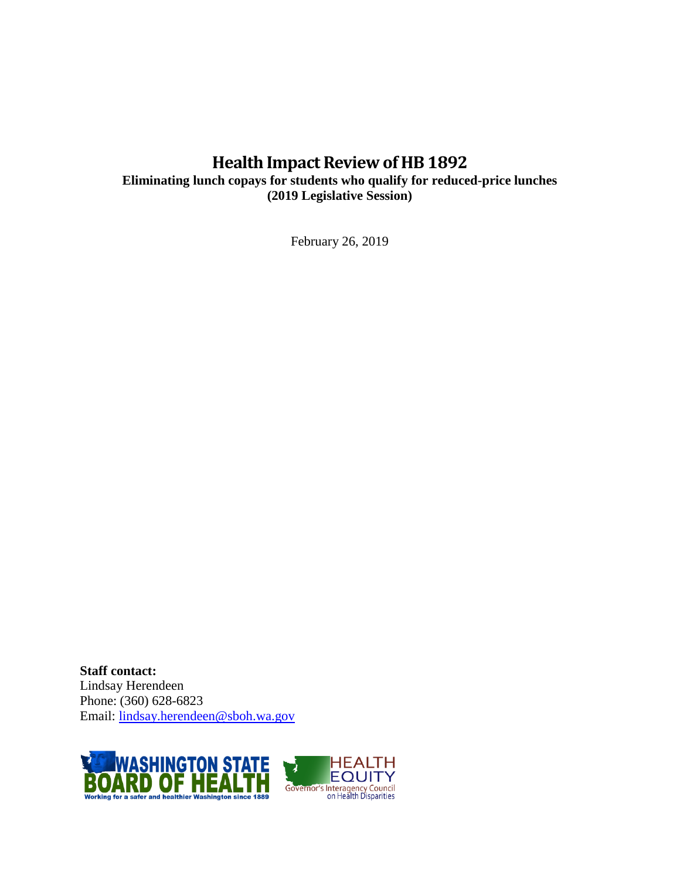# **Health Impact Review of HB 1892**

**Eliminating lunch copays for students who qualify for reduced-price lunches (2019 Legislative Session)**

February 26, 2019

**Staff contact:** Lindsay Herendeen Phone: (360) 628-6823 Email: [lindsay.herendeen@sboh.wa.gov](mailto:lindsay.herendeen@sboh.wa.gov)

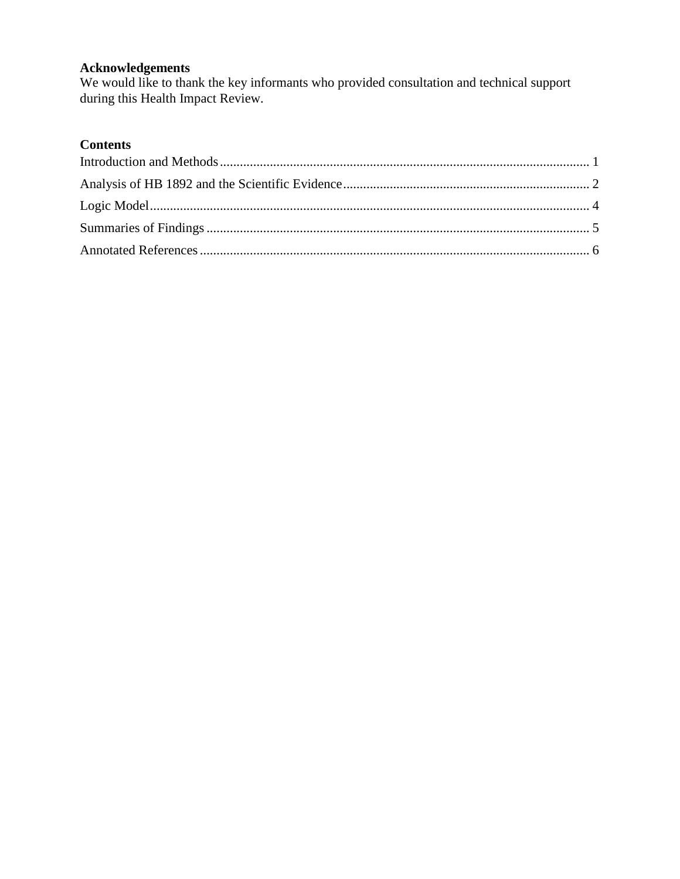# **Acknowledgements**

We would like to thank the key informants who provided consultation and technical support during this Health Impact Review.

# **Contents**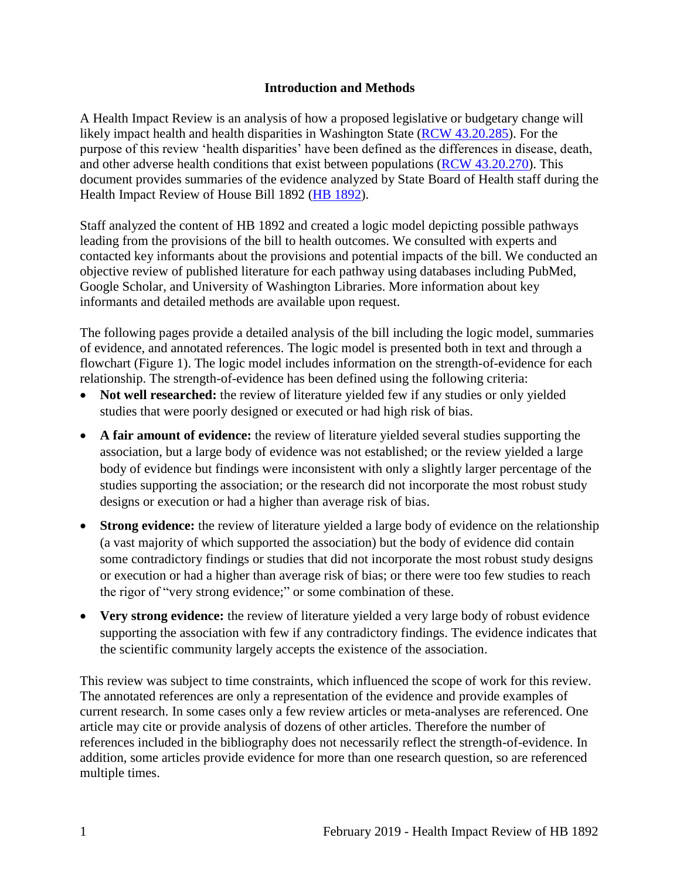#### **Introduction and Methods**

<span id="page-3-0"></span>A Health Impact Review is an analysis of how a proposed legislative or budgetary change will likely impact health and health disparities in Washington State [\(RCW 43.20.285\)](http://apps.leg.wa.gov/rcw/default.aspx?cite=43.20.285). For the purpose of this review 'health disparities' have been defined as the differences in disease, death, and other adverse health conditions that exist between populations [\(RCW 43.20.270\)](http://apps.leg.wa.gov/rcw/default.aspx?cite=43.20.270). This document provides summaries of the evidence analyzed by State Board of Health staff during the Health Impact Review of House Bill 1892 [\(HB 1892\)](https://app.leg.wa.gov/billsummary?BillNumber=1892&Year=2019&Initiative=false).

Staff analyzed the content of HB 1892 and created a logic model depicting possible pathways leading from the provisions of the bill to health outcomes. We consulted with experts and contacted key informants about the provisions and potential impacts of the bill. We conducted an objective review of published literature for each pathway using databases including PubMed, Google Scholar, and University of Washington Libraries. More information about key informants and detailed methods are available upon request.

The following pages provide a detailed analysis of the bill including the logic model, summaries of evidence, and annotated references. The logic model is presented both in text and through a flowchart (Figure 1). The logic model includes information on the strength-of-evidence for each relationship. The strength-of-evidence has been defined using the following criteria:

- Not well researched: the review of literature yielded few if any studies or only yielded studies that were poorly designed or executed or had high risk of bias.
- **A fair amount of evidence:** the review of literature yielded several studies supporting the association, but a large body of evidence was not established; or the review yielded a large body of evidence but findings were inconsistent with only a slightly larger percentage of the studies supporting the association; or the research did not incorporate the most robust study designs or execution or had a higher than average risk of bias.
- **Strong evidence:** the review of literature yielded a large body of evidence on the relationship (a vast majority of which supported the association) but the body of evidence did contain some contradictory findings or studies that did not incorporate the most robust study designs or execution or had a higher than average risk of bias; or there were too few studies to reach the rigor of "very strong evidence;" or some combination of these.
- **Very strong evidence:** the review of literature yielded a very large body of robust evidence supporting the association with few if any contradictory findings. The evidence indicates that the scientific community largely accepts the existence of the association.

This review was subject to time constraints, which influenced the scope of work for this review. The annotated references are only a representation of the evidence and provide examples of current research. In some cases only a few review articles or meta-analyses are referenced. One article may cite or provide analysis of dozens of other articles. Therefore the number of references included in the bibliography does not necessarily reflect the strength-of-evidence. In addition, some articles provide evidence for more than one research question, so are referenced multiple times.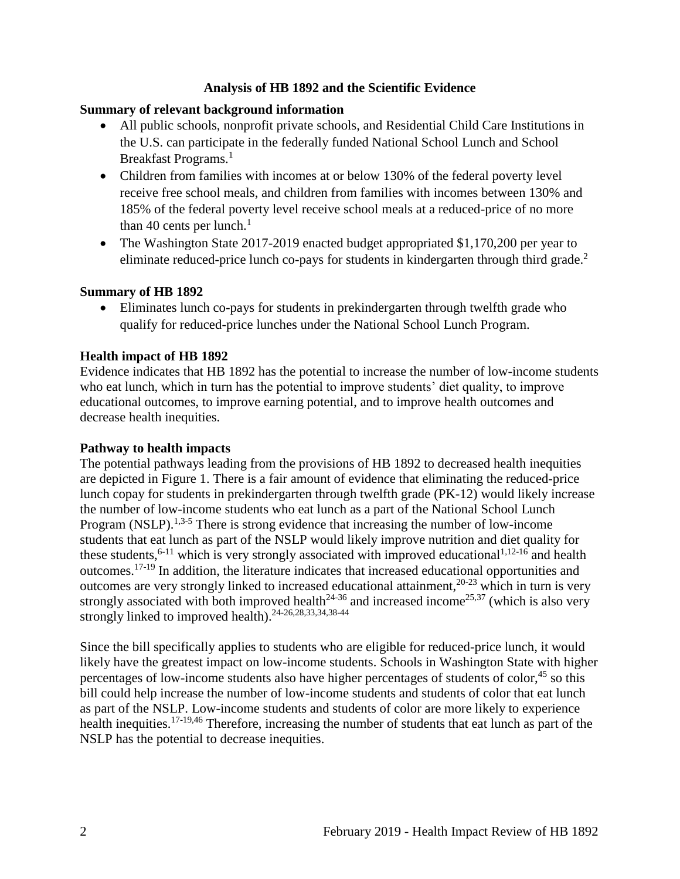#### **Analysis of HB 1892 and the Scientific Evidence**

#### <span id="page-4-0"></span>**Summary of relevant background information**

- All public schools, nonprofit private schools, and Residential Child Care Institutions in the U.S. can participate in the federally funded National School Lunch and School Breakfast Programs.<sup>1</sup>
- Children from families with incomes at or below 130% of the federal poverty level receive free school meals, and children from families with incomes between 130% and 185% of the federal poverty level receive school meals at a reduced-price of no more than 40 cents per lunch. $<sup>1</sup>$ </sup>
- The Washington State 2017-2019 enacted budget appropriated \$1,170,200 per year to eliminate reduced-price lunch co-pays for students in kindergarten through third grade.<sup>2</sup>

#### **Summary of HB 1892**

 Eliminates lunch co-pays for students in prekindergarten through twelfth grade who qualify for reduced-price lunches under the National School Lunch Program.

#### **Health impact of HB 1892**

Evidence indicates that HB 1892 has the potential to increase the number of low-income students who eat lunch, which in turn has the potential to improve students' diet quality, to improve educational outcomes, to improve earning potential, and to improve health outcomes and decrease health inequities.

#### **Pathway to health impacts**

The potential pathways leading from the provisions of HB 1892 to decreased health inequities are depicted in Figure 1. There is a fair amount of evidence that eliminating the reduced-price lunch copay for students in prekindergarten through twelfth grade (PK-12) would likely increase the number of low-income students who eat lunch as a part of the National School Lunch Program (NSLP).<sup>[1,](#page-11-0)[3-5](#page-11-1)</sup> There is strong evidence that increasing the number of low-income students that eat lunch as part of the NSLP would likely improve nutrition and diet quality for these students,  $6-11$  which is very strongly associated with improved educational  $1,12-16$  $1,12-16$  and health outcomes.17-19 In addition, the literature indicates that increased educational opportunities and outcomes are very strongly linked to increased educational attainment,20-23 which in turn is very strongly associated with both improved health<sup>24-36</sup> and increased income<sup>[25](#page-19-0)[,37](#page-22-0)</sup> (which is also very strongly linked to improved health).[24-26,](#page-19-1)[28,](#page-20-0)[33,](#page-21-0)[34,](#page-21-1)[38-44](#page-22-1)

Since the bill specifically applies to students who are eligible for reduced-price lunch, it would likely have the greatest impact on low-income students. Schools in Washington State with higher percentages of low-income students also have higher percentages of students of color, $45$  so this bill could help increase the number of low-income students and students of color that eat lunch as part of the NSLP. Low-income students and students of color are more likely to experience health inequities.<sup>[17-19,](#page-17-0)[46](#page-24-0)</sup> Therefore, increasing the number of students that eat lunch as part of the NSLP has the potential to decrease inequities.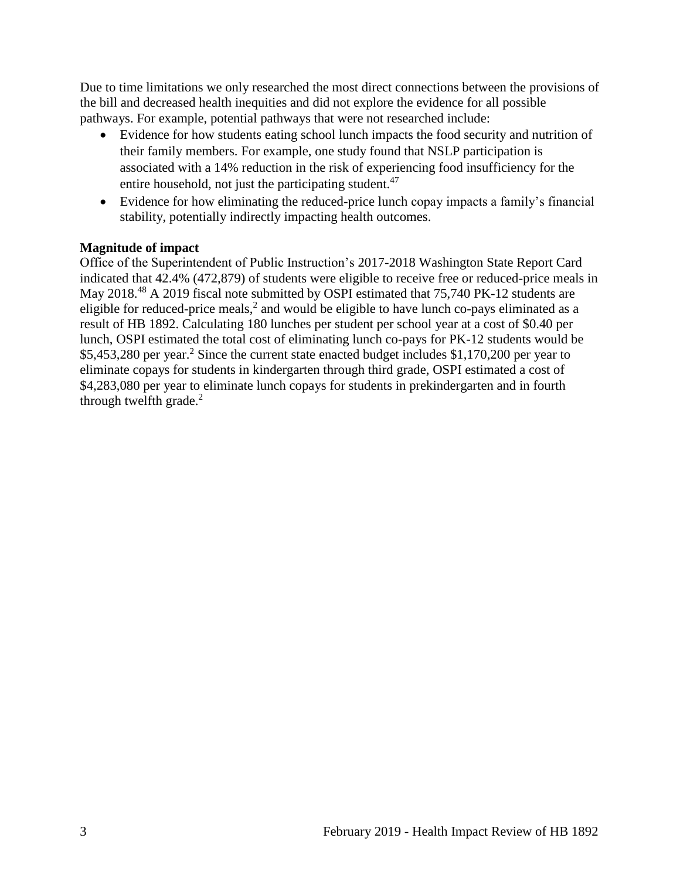Due to time limitations we only researched the most direct connections between the provisions of the bill and decreased health inequities and did not explore the evidence for all possible pathways. For example, potential pathways that were not researched include:

- Evidence for how students eating school lunch impacts the food security and nutrition of their family members. For example, one study found that NSLP participation is associated with a 14% reduction in the risk of experiencing food insufficiency for the entire household, not just the participating student. $47$
- Evidence for how eliminating the reduced-price lunch copay impacts a family's financial stability, potentially indirectly impacting health outcomes.

## **Magnitude of impact**

Office of the Superintendent of Public Instruction's 2017-2018 Washington State Report Card indicated that 42.4% (472,879) of students were eligible to receive free or reduced-price meals in May 2018.<sup>48</sup> A 2019 fiscal note submitted by OSPI estimated that 75,740 PK-12 students are eligible for reduced-price meals,<sup>2</sup> and would be eligible to have lunch co-pays eliminated as a result of HB 1892. Calculating 180 lunches per student per school year at a cost of \$0.40 per lunch, OSPI estimated the total cost of eliminating lunch co-pays for PK-12 students would be \$5,453,280 per year.<sup>2</sup> Since the current state enacted budget includes \$1,170,200 per year to eliminate copays for students in kindergarten through third grade, OSPI estimated a cost of \$4,283,080 per year to eliminate lunch copays for students in prekindergarten and in fourth through twelfth grade. $2$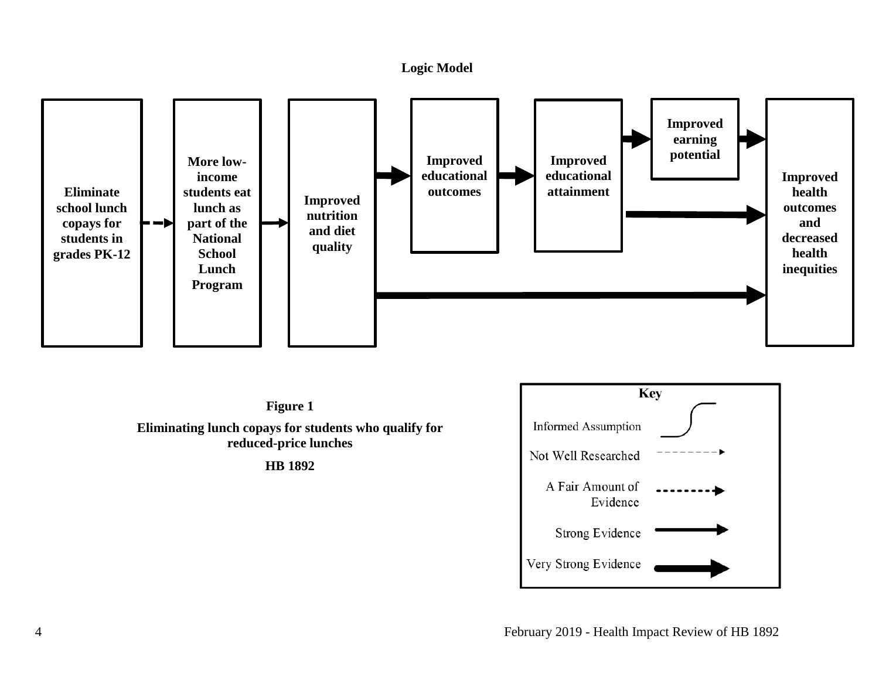#### **Logic Model**



<span id="page-6-0"></span>**Figure 1 Eliminating lunch copays for students who qualify for reduced-price lunches HB 1892**

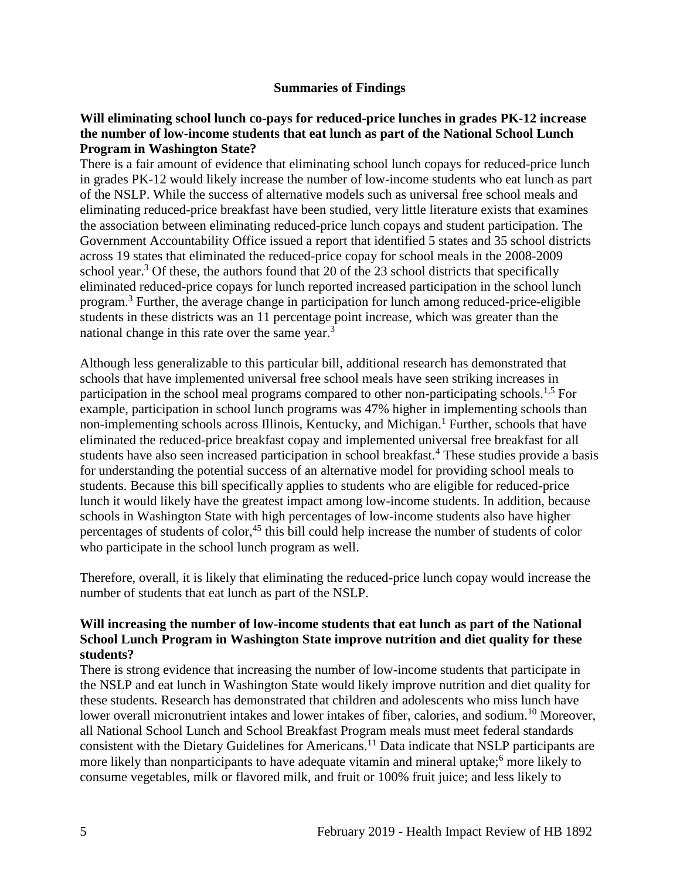#### **Summaries of Findings**

#### <span id="page-7-0"></span>**Will eliminating school lunch co-pays for reduced-price lunches in grades PK-12 increase the number of low-income students that eat lunch as part of the National School Lunch Program in Washington State?**

There is a fair amount of evidence that eliminating school lunch copays for reduced-price lunch in grades PK-12 would likely increase the number of low-income students who eat lunch as part of the NSLP. While the success of alternative models such as universal free school meals and eliminating reduced-price breakfast have been studied, very little literature exists that examines the association between eliminating reduced-price lunch copays and student participation. The Government Accountability Office issued a report that identified 5 states and 35 school districts across 19 states that eliminated the reduced-price copay for school meals in the 2008-2009 school year.<sup>3</sup> Of these, the authors found that 20 of the 23 school districts that specifically eliminated reduced-price copays for lunch reported increased participation in the school lunch program. <sup>3</sup> Further, the average change in participation for lunch among reduced-price-eligible students in these districts was an 11 percentage point increase, which was greater than the national change in this rate over the same year.<sup>3</sup>

Although less generalizable to this particular bill, additional research has demonstrated that schools that have implemented universal free school meals have seen striking increases in participation in the school meal programs compared to other non-participating schools.<sup>[1,](#page-11-0)[5](#page-12-0)</sup> For example, participation in school lunch programs was 47% higher in implementing schools than non-implementing schools across Illinois, Kentucky, and Michigan.<sup>1</sup> Further, schools that have eliminated the reduced-price breakfast copay and implemented universal free breakfast for all students have also seen increased participation in school breakfast.<sup>4</sup> These studies provide a basis for understanding the potential success of an alternative model for providing school meals to students. Because this bill specifically applies to students who are eligible for reduced-price lunch it would likely have the greatest impact among low-income students. In addition, because schools in Washington State with high percentages of low-income students also have higher percentages of students of color,<sup>45</sup> this bill could help increase the number of students of color who participate in the school lunch program as well.

Therefore, overall, it is likely that eliminating the reduced-price lunch copay would increase the number of students that eat lunch as part of the NSLP.

#### **Will increasing the number of low-income students that eat lunch as part of the National School Lunch Program in Washington State improve nutrition and diet quality for these students?**

There is strong evidence that increasing the number of low-income students that participate in the NSLP and eat lunch in Washington State would likely improve nutrition and diet quality for these students. Research has demonstrated that children and adolescents who miss lunch have lower overall micronutrient intakes and lower intakes of fiber, calories, and sodium.<sup>10</sup> Moreover, all National School Lunch and School Breakfast Program meals must meet federal standards consistent with the Dietary Guidelines for Americans.<sup>11</sup> Data indicate that NSLP participants are more likely than nonparticipants to have adequate vitamin and mineral uptake;<sup>6</sup> more likely to consume vegetables, milk or flavored milk, and fruit or 100% fruit juice; and less likely to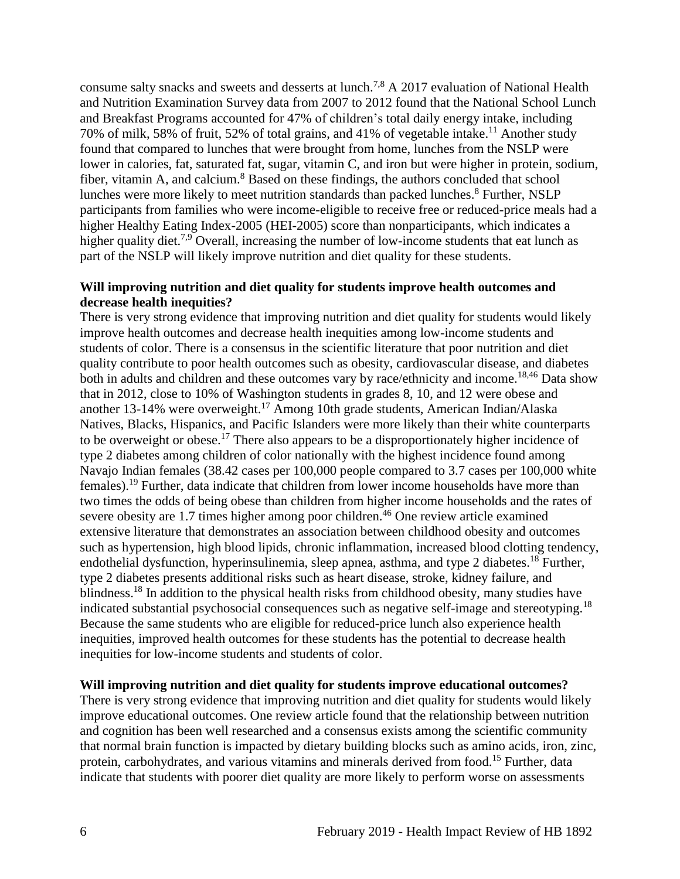consume salty snacks and sweets and desserts at lunch.[7,](#page-13-0)[8](#page-13-1) A 2017 evaluation of National Health and Nutrition Examination Survey data from 2007 to 2012 found that the National School Lunch and Breakfast Programs accounted for 47% of children's total daily energy intake, including 70% of milk, 58% of fruit, 52% of total grains, and 41% of vegetable intake.<sup>11</sup> Another study found that compared to lunches that were brought from home, lunches from the NSLP were lower in calories, fat, saturated fat, sugar, vitamin C, and iron but were higher in protein, sodium, fiber, vitamin A, and calcium.<sup>8</sup> Based on these findings, the authors concluded that school lunches were more likely to meet nutrition standards than packed lunches.<sup>8</sup> Further, NSLP participants from families who were income-eligible to receive free or reduced-price meals had a higher Healthy Eating Index-2005 (HEI-2005) score than nonparticipants, which indicates a higher quality diet.<sup>[7,](#page-13-0)[9](#page-14-0)</sup> Overall, increasing the number of low-income students that eat lunch as part of the NSLP will likely improve nutrition and diet quality for these students.

#### **Will improving nutrition and diet quality for students improve health outcomes and decrease health inequities?**

There is very strong evidence that improving nutrition and diet quality for students would likely improve health outcomes and decrease health inequities among low-income students and students of color. There is a consensus in the scientific literature that poor nutrition and diet quality contribute to poor health outcomes such as obesity, cardiovascular disease, and diabetes both in adults and children and these outcomes vary by race/ethnicity and income.<sup>[18](#page-17-1)[,46](#page-24-0)</sup> Data show that in 2012, close to 10% of Washington students in grades 8, 10, and 12 were obese and another 13-14% were overweight.<sup>17</sup> Among 10th grade students, American Indian/Alaska Natives, Blacks, Hispanics, and Pacific Islanders were more likely than their white counterparts to be overweight or obese.<sup>17</sup> There also appears to be a disproportionately higher incidence of type 2 diabetes among children of color nationally with the highest incidence found among Navajo Indian females (38.42 cases per 100,000 people compared to 3.7 cases per 100,000 white females).<sup>19</sup> Further, data indicate that children from lower income households have more than two times the odds of being obese than children from higher income households and the rates of severe obesity are 1.7 times higher among poor children.<sup>46</sup> One review article examined extensive literature that demonstrates an association between childhood obesity and outcomes such as hypertension, high blood lipids, chronic inflammation, increased blood clotting tendency, endothelial dysfunction, hyperinsulinemia, sleep apnea, asthma, and type 2 diabetes.<sup>18</sup> Further, type 2 diabetes presents additional risks such as heart disease, stroke, kidney failure, and blindness.<sup>18</sup> In addition to the physical health risks from childhood obesity, many studies have indicated substantial psychosocial consequences such as negative self-image and stereotyping.<sup>18</sup> Because the same students who are eligible for reduced-price lunch also experience health inequities, improved health outcomes for these students has the potential to decrease health inequities for low-income students and students of color.

## <span id="page-8-0"></span>**Will improving nutrition and diet quality for students improve educational outcomes?**

There is very strong evidence that improving nutrition and diet quality for students would likely improve educational outcomes. One review article found that the relationship between nutrition and cognition has been well researched and a consensus exists among the scientific community that normal brain function is impacted by dietary building blocks such as amino acids, iron, zinc, protein, carbohydrates, and various vitamins and minerals derived from food.<sup>15</sup> Further, data indicate that students with poorer diet quality are more likely to perform worse on assessments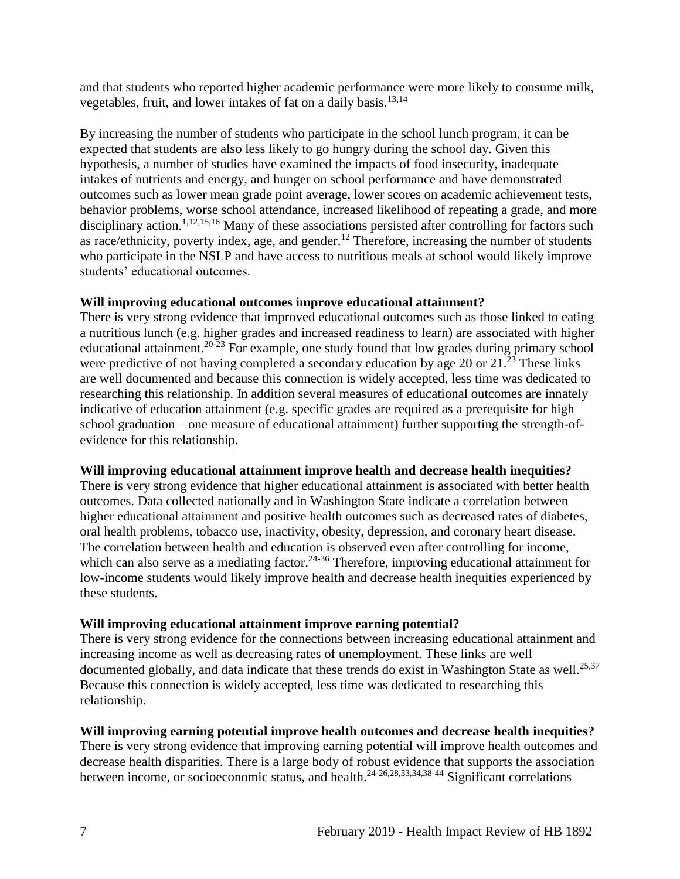and that students who reported higher academic performance were more likely to consume milk, vegetables, fruit, and lower intakes of fat on a daily basis.<sup>[13](#page-16-0)[,14](#page-16-1)</sup>

By increasing the number of students who participate in the school lunch program, it can be expected that students are also less likely to go hungry during the school day. Given this hypothesis, a number of studies have examined the impacts of food insecurity, inadequate intakes of nutrients and energy, and hunger on school performance and have demonstrated outcomes such as lower mean grade point average, lower scores on academic achievement tests, behavior problems, worse school attendance, increased likelihood of repeating a grade, and more disciplinary action.<sup>[1](#page-11-0)[,12](#page-15-0)[,15](#page-16-2)[,16](#page-17-2)</sup> Many of these associations persisted after controlling for factors such as race/ethnicity, poverty index, age, and gender.<sup>12</sup> Therefore, increasing the number of students who participate in the NSLP and have access to nutritious meals at school would likely improve students' educational outcomes.

## **Will improving educational outcomes improve educational attainment?**

There is very strong evidence that improved educational outcomes such as those linked to eating a nutritious lunch (e.g. higher grades and increased readiness to learn) are associated with higher educational attainment.<sup>20-23</sup> For example, one study found that low grades during primary school were predictive of not having completed a secondary education by age 20 or  $21.\overline{^{23}}$  These links are well documented and because this connection is widely accepted, less time was dedicated to researching this relationship. In addition several measures of educational outcomes are innately indicative of education attainment (e.g. specific grades are required as a prerequisite for high school graduation—one measure of educational attainment) further supporting the strength-ofevidence for this relationship.

## **Will improving educational attainment improve health and decrease health inequities?**

There is very strong evidence that higher educational attainment is associated with better health outcomes. Data collected nationally and in Washington State indicate a correlation between higher educational attainment and positive health outcomes such as decreased rates of diabetes, oral health problems, tobacco use, inactivity, obesity, depression, and coronary heart disease. The correlation between health and education is observed even after controlling for income, which can also serve as a mediating factor.<sup>24-36</sup> Therefore, improving educational attainment for low-income students would likely improve health and decrease health inequities experienced by these students.

## **Will improving educational attainment improve earning potential?**

There is very strong evidence for the connections between increasing educational attainment and increasing income as well as decreasing rates of unemployment. These links are well documented globally, and data indicate that these trends do exist in Washington State as well.<sup>[25](#page-19-0)[,37](#page-22-0)</sup> Because this connection is widely accepted, less time was dedicated to researching this relationship.

# **Will improving earning potential improve health outcomes and decrease health inequities?**

There is very strong evidence that improving earning potential will improve health outcomes and decrease health disparities. There is a large body of robust evidence that supports the association between income, or socioeconomic status, and health.<sup>[24-26](#page-19-1)[,28](#page-20-0)[,33](#page-21-0)[,34](#page-21-1)[,38-44](#page-22-1)</sup> Significant correlations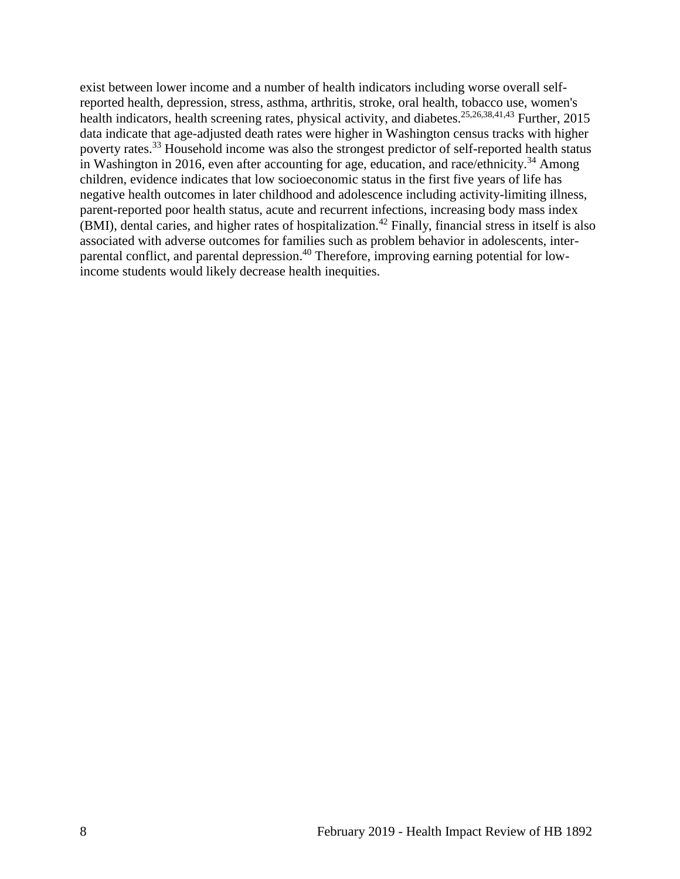exist between lower income and a number of health indicators including worse overall selfreported health, depression, stress, asthma, arthritis, stroke, oral health, tobacco use, women's health indicators, health screening rates, physical activity, and diabetes.<sup>[25](#page-19-0)[,26](#page-19-2)[,38](#page-22-1)[,41](#page-22-2)[,43](#page-23-0)</sup> Further, 2015 data indicate that age-adjusted death rates were higher in Washington census tracks with higher poverty rates.<sup>33</sup> Household income was also the strongest predictor of self-reported health status in Washington in 2016, even after accounting for age, education, and race/ethnicity.<sup>34</sup> Among children, evidence indicates that low socioeconomic status in the first five years of life has negative health outcomes in later childhood and adolescence including activity-limiting illness, parent-reported poor health status, acute and recurrent infections, increasing body mass index (BMI), dental caries, and higher rates of hospitalization.<sup>42</sup> Finally, financial stress in itself is also associated with adverse outcomes for families such as problem behavior in adolescents, interparental conflict, and parental depression.<sup>40</sup> Therefore, improving earning potential for lowincome students would likely decrease health inequities.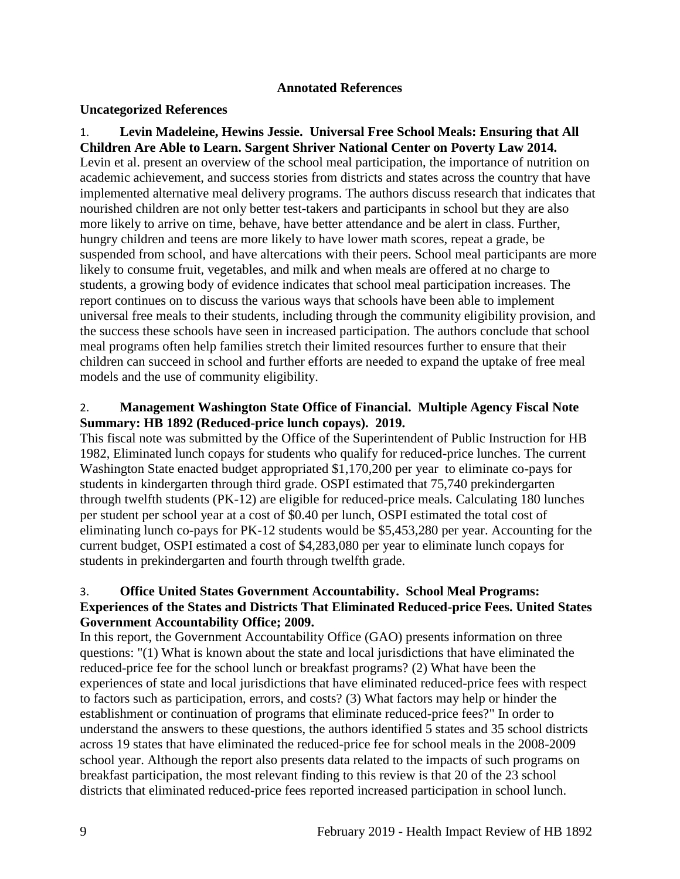#### **Annotated References**

#### **Uncategorized References**

<span id="page-11-0"></span>1. **Levin Madeleine, Hewins Jessie. Universal Free School Meals: Ensuring that All Children Are Able to Learn. Sargent Shriver National Center on Poverty Law 2014.** Levin et al. present an overview of the school meal participation, the importance of nutrition on academic achievement, and success stories from districts and states across the country that have implemented alternative meal delivery programs. The authors discuss research that indicates that nourished children are not only better test-takers and participants in school but they are also more likely to arrive on time, behave, have better attendance and be alert in class. Further, hungry children and teens are more likely to have lower math scores, repeat a grade, be suspended from school, and have altercations with their peers. School meal participants are more likely to consume fruit, vegetables, and milk and when meals are offered at no charge to students, a growing body of evidence indicates that school meal participation increases. The report continues on to discuss the various ways that schools have been able to implement universal free meals to their students, including through the community eligibility provision, and the success these schools have seen in increased participation. The authors conclude that school meal programs often help families stretch their limited resources further to ensure that their children can succeed in school and further efforts are needed to expand the uptake of free meal models and the use of community eligibility.

## 2. **Management Washington State Office of Financial. Multiple Agency Fiscal Note Summary: HB 1892 (Reduced-price lunch copays). 2019.**

This fiscal note was submitted by the Office of the Superintendent of Public Instruction for HB 1982, Eliminated lunch copays for students who qualify for reduced-price lunches. The current Washington State enacted budget appropriated \$1,170,200 per year to eliminate co-pays for students in kindergarten through third grade. OSPI estimated that 75,740 prekindergarten through twelfth students (PK-12) are eligible for reduced-price meals. Calculating 180 lunches per student per school year at a cost of \$0.40 per lunch, OSPI estimated the total cost of eliminating lunch co-pays for PK-12 students would be \$5,453,280 per year. Accounting for the current budget, OSPI estimated a cost of \$4,283,080 per year to eliminate lunch copays for students in prekindergarten and fourth through twelfth grade.

## <span id="page-11-1"></span>3. **Office United States Government Accountability. School Meal Programs: Experiences of the States and Districts That Eliminated Reduced-price Fees. United States Government Accountability Office; 2009.**

In this report, the Government Accountability Office (GAO) presents information on three questions: "(1) What is known about the state and local jurisdictions that have eliminated the reduced-price fee for the school lunch or breakfast programs? (2) What have been the experiences of state and local jurisdictions that have eliminated reduced-price fees with respect to factors such as participation, errors, and costs? (3) What factors may help or hinder the establishment or continuation of programs that eliminate reduced-price fees?" In order to understand the answers to these questions, the authors identified 5 states and 35 school districts across 19 states that have eliminated the reduced-price fee for school meals in the 2008-2009 school year. Although the report also presents data related to the impacts of such programs on breakfast participation, the most relevant finding to this review is that 20 of the 23 school districts that eliminated reduced-price fees reported increased participation in school lunch.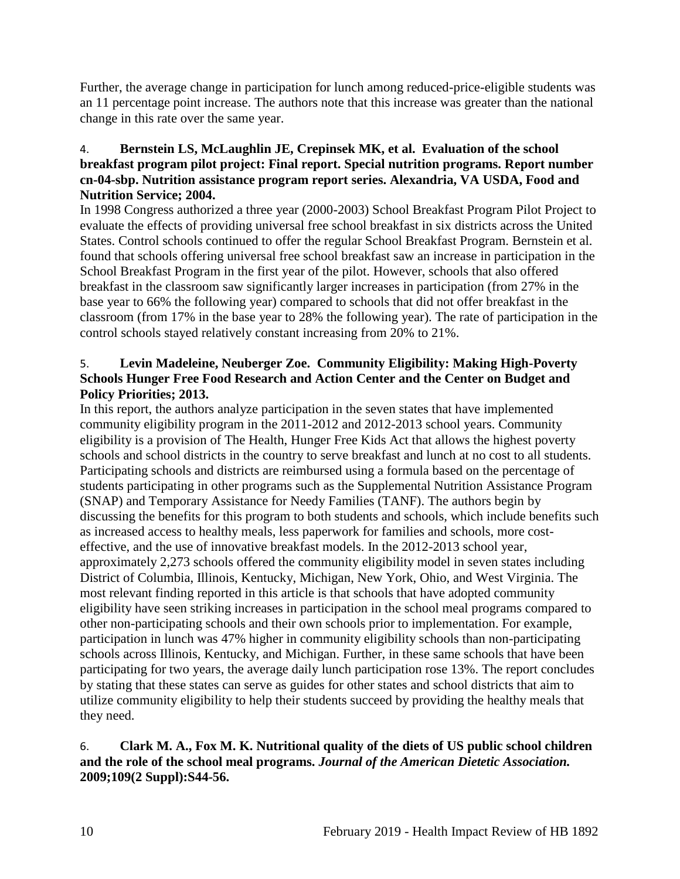Further, the average change in participation for lunch among reduced-price-eligible students was an 11 percentage point increase. The authors note that this increase was greater than the national change in this rate over the same year.

## 4. **Bernstein LS, McLaughlin JE, Crepinsek MK, et al. Evaluation of the school breakfast program pilot project: Final report. Special nutrition programs. Report number cn-04-sbp. Nutrition assistance program report series. Alexandria, VA USDA, Food and Nutrition Service; 2004.**

In 1998 Congress authorized a three year (2000-2003) School Breakfast Program Pilot Project to evaluate the effects of providing universal free school breakfast in six districts across the United States. Control schools continued to offer the regular School Breakfast Program. Bernstein et al. found that schools offering universal free school breakfast saw an increase in participation in the School Breakfast Program in the first year of the pilot. However, schools that also offered breakfast in the classroom saw significantly larger increases in participation (from 27% in the base year to 66% the following year) compared to schools that did not offer breakfast in the classroom (from 17% in the base year to 28% the following year). The rate of participation in the control schools stayed relatively constant increasing from 20% to 21%.

## <span id="page-12-0"></span>5. **Levin Madeleine, Neuberger Zoe. Community Eligibility: Making High-Poverty Schools Hunger Free Food Research and Action Center and the Center on Budget and Policy Priorities; 2013.**

In this report, the authors analyze participation in the seven states that have implemented community eligibility program in the 2011-2012 and 2012-2013 school years. Community eligibility is a provision of The Health, Hunger Free Kids Act that allows the highest poverty schools and school districts in the country to serve breakfast and lunch at no cost to all students. Participating schools and districts are reimbursed using a formula based on the percentage of students participating in other programs such as the Supplemental Nutrition Assistance Program (SNAP) and Temporary Assistance for Needy Families (TANF). The authors begin by discussing the benefits for this program to both students and schools, which include benefits such as increased access to healthy meals, less paperwork for families and schools, more costeffective, and the use of innovative breakfast models. In the 2012-2013 school year, approximately 2,273 schools offered the community eligibility model in seven states including District of Columbia, Illinois, Kentucky, Michigan, New York, Ohio, and West Virginia. The most relevant finding reported in this article is that schools that have adopted community eligibility have seen striking increases in participation in the school meal programs compared to other non-participating schools and their own schools prior to implementation. For example, participation in lunch was 47% higher in community eligibility schools than non-participating schools across Illinois, Kentucky, and Michigan. Further, in these same schools that have been participating for two years, the average daily lunch participation rose 13%. The report concludes by stating that these states can serve as guides for other states and school districts that aim to utilize community eligibility to help their students succeed by providing the healthy meals that they need.

## 6. **Clark M. A., Fox M. K. Nutritional quality of the diets of US public school children and the role of the school meal programs.** *Journal of the American Dietetic Association.*  **2009;109(2 Suppl):S44-56.**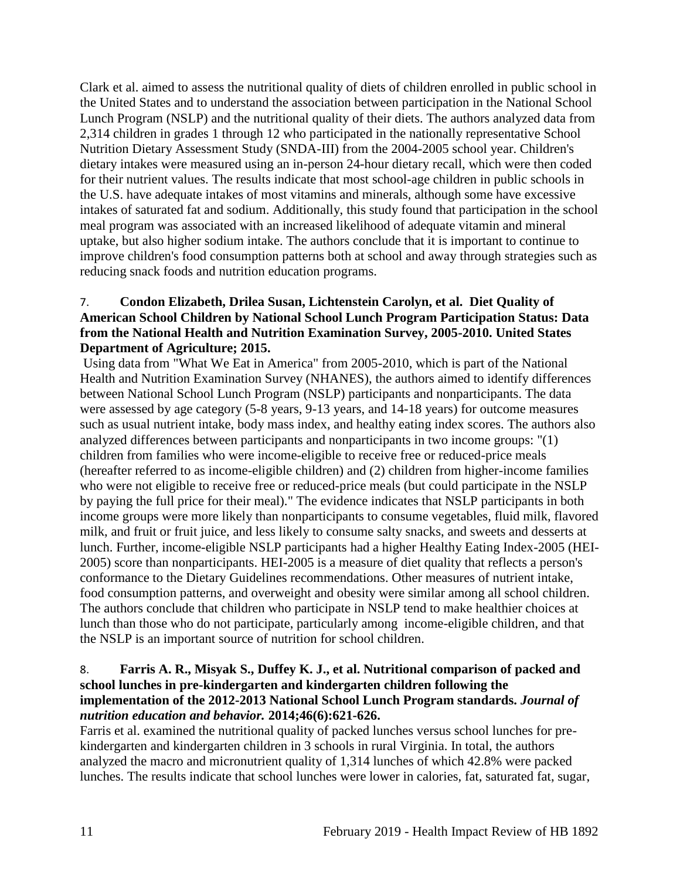Clark et al. aimed to assess the nutritional quality of diets of children enrolled in public school in the United States and to understand the association between participation in the National School Lunch Program (NSLP) and the nutritional quality of their diets. The authors analyzed data from 2,314 children in grades 1 through 12 who participated in the nationally representative School Nutrition Dietary Assessment Study (SNDA-III) from the 2004-2005 school year. Children's dietary intakes were measured using an in-person 24-hour dietary recall, which were then coded for their nutrient values. The results indicate that most school-age children in public schools in the U.S. have adequate intakes of most vitamins and minerals, although some have excessive intakes of saturated fat and sodium. Additionally, this study found that participation in the school meal program was associated with an increased likelihood of adequate vitamin and mineral uptake, but also higher sodium intake. The authors conclude that it is important to continue to improve children's food consumption patterns both at school and away through strategies such as reducing snack foods and nutrition education programs.

## <span id="page-13-0"></span>7. **Condon Elizabeth, Drilea Susan, Lichtenstein Carolyn, et al. Diet Quality of American School Children by National School Lunch Program Participation Status: Data from the National Health and Nutrition Examination Survey, 2005-2010. United States Department of Agriculture; 2015.**

Using data from "What We Eat in America" from 2005-2010, which is part of the National Health and Nutrition Examination Survey (NHANES), the authors aimed to identify differences between National School Lunch Program (NSLP) participants and nonparticipants. The data were assessed by age category (5-8 years, 9-13 years, and 14-18 years) for outcome measures such as usual nutrient intake, body mass index, and healthy eating index scores. The authors also analyzed differences between participants and nonparticipants in two income groups: "(1) children from families who were income-eligible to receive free or reduced-price meals (hereafter referred to as income-eligible children) and (2) children from higher-income families who were not eligible to receive free or reduced-price meals (but could participate in the NSLP by paying the full price for their meal)." The evidence indicates that NSLP participants in both income groups were more likely than nonparticipants to consume vegetables, fluid milk, flavored milk, and fruit or fruit juice, and less likely to consume salty snacks, and sweets and desserts at lunch. Further, income-eligible NSLP participants had a higher Healthy Eating Index-2005 (HEI-2005) score than nonparticipants. HEI-2005 is a measure of diet quality that reflects a person's conformance to the Dietary Guidelines recommendations. Other measures of nutrient intake, food consumption patterns, and overweight and obesity were similar among all school children. The authors conclude that children who participate in NSLP tend to make healthier choices at lunch than those who do not participate, particularly among income-eligible children, and that the NSLP is an important source of nutrition for school children.

#### <span id="page-13-1"></span>8. **Farris A. R., Misyak S., Duffey K. J., et al. Nutritional comparison of packed and school lunches in pre-kindergarten and kindergarten children following the implementation of the 2012-2013 National School Lunch Program standards.** *Journal of nutrition education and behavior.* **2014;46(6):621-626.**

Farris et al. examined the nutritional quality of packed lunches versus school lunches for prekindergarten and kindergarten children in 3 schools in rural Virginia. In total, the authors analyzed the macro and micronutrient quality of 1,314 lunches of which 42.8% were packed lunches. The results indicate that school lunches were lower in calories, fat, saturated fat, sugar,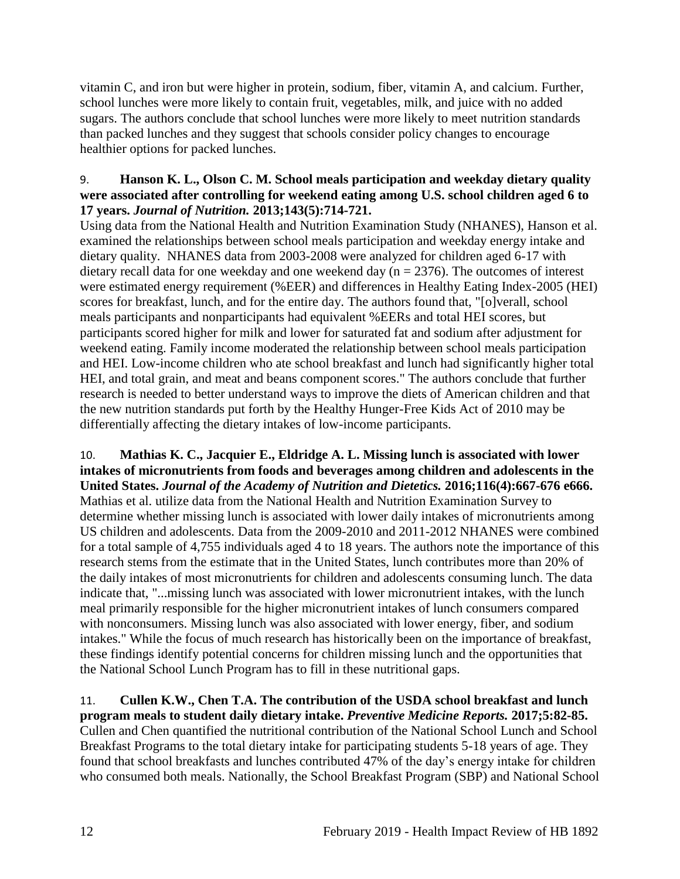vitamin C, and iron but were higher in protein, sodium, fiber, vitamin A, and calcium. Further, school lunches were more likely to contain fruit, vegetables, milk, and juice with no added sugars. The authors conclude that school lunches were more likely to meet nutrition standards than packed lunches and they suggest that schools consider policy changes to encourage healthier options for packed lunches.

### <span id="page-14-0"></span>9. **Hanson K. L., Olson C. M. School meals participation and weekday dietary quality were associated after controlling for weekend eating among U.S. school children aged 6 to 17 years.** *Journal of Nutrition.* **2013;143(5):714-721.**

Using data from the National Health and Nutrition Examination Study (NHANES), Hanson et al. examined the relationships between school meals participation and weekday energy intake and dietary quality. NHANES data from 2003-2008 were analyzed for children aged 6-17 with dietary recall data for one weekday and one weekend day ( $n = 2376$ ). The outcomes of interest were estimated energy requirement (%EER) and differences in Healthy Eating Index-2005 (HEI) scores for breakfast, lunch, and for the entire day. The authors found that, "[o]verall, school meals participants and nonparticipants had equivalent %EERs and total HEI scores, but participants scored higher for milk and lower for saturated fat and sodium after adjustment for weekend eating. Family income moderated the relationship between school meals participation and HEI. Low-income children who ate school breakfast and lunch had significantly higher total HEI, and total grain, and meat and beans component scores." The authors conclude that further research is needed to better understand ways to improve the diets of American children and that the new nutrition standards put forth by the Healthy Hunger-Free Kids Act of 2010 may be differentially affecting the dietary intakes of low-income participants.

#### 10. **Mathias K. C., Jacquier E., Eldridge A. L. Missing lunch is associated with lower intakes of micronutrients from foods and beverages among children and adolescents in the United States.** *Journal of the Academy of Nutrition and Dietetics.* **2016;116(4):667-676 e666.**

Mathias et al. utilize data from the National Health and Nutrition Examination Survey to determine whether missing lunch is associated with lower daily intakes of micronutrients among US children and adolescents. Data from the 2009-2010 and 2011-2012 NHANES were combined for a total sample of 4,755 individuals aged 4 to 18 years. The authors note the importance of this research stems from the estimate that in the United States, lunch contributes more than 20% of the daily intakes of most micronutrients for children and adolescents consuming lunch. The data indicate that, "...missing lunch was associated with lower micronutrient intakes, with the lunch meal primarily responsible for the higher micronutrient intakes of lunch consumers compared with nonconsumers. Missing lunch was also associated with lower energy, fiber, and sodium intakes." While the focus of much research has historically been on the importance of breakfast, these findings identify potential concerns for children missing lunch and the opportunities that the National School Lunch Program has to fill in these nutritional gaps.

#### 11. **Cullen K.W., Chen T.A. The contribution of the USDA school breakfast and lunch program meals to student daily dietary intake.** *Preventive Medicine Reports.* **2017;5:82-85.**

Cullen and Chen quantified the nutritional contribution of the National School Lunch and School Breakfast Programs to the total dietary intake for participating students 5-18 years of age. They found that school breakfasts and lunches contributed 47% of the day's energy intake for children who consumed both meals. Nationally, the School Breakfast Program (SBP) and National School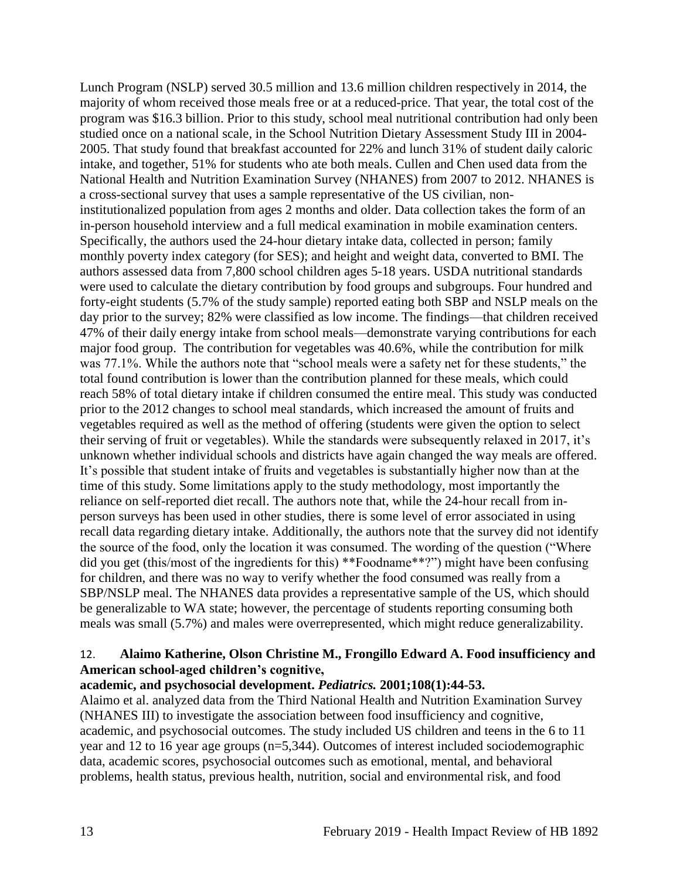Lunch Program (NSLP) served 30.5 million and 13.6 million children respectively in 2014, the majority of whom received those meals free or at a reduced-price. That year, the total cost of the program was \$16.3 billion. Prior to this study, school meal nutritional contribution had only been studied once on a national scale, in the School Nutrition Dietary Assessment Study III in 2004- 2005. That study found that breakfast accounted for 22% and lunch 31% of student daily caloric intake, and together, 51% for students who ate both meals. Cullen and Chen used data from the National Health and Nutrition Examination Survey (NHANES) from 2007 to 2012. NHANES is a cross-sectional survey that uses a sample representative of the US civilian, noninstitutionalized population from ages 2 months and older. Data collection takes the form of an in-person household interview and a full medical examination in mobile examination centers. Specifically, the authors used the 24-hour dietary intake data, collected in person; family monthly poverty index category (for SES); and height and weight data, converted to BMI. The authors assessed data from 7,800 school children ages 5-18 years. USDA nutritional standards were used to calculate the dietary contribution by food groups and subgroups. Four hundred and forty-eight students (5.7% of the study sample) reported eating both SBP and NSLP meals on the day prior to the survey; 82% were classified as low income. The findings—that children received 47% of their daily energy intake from school meals—demonstrate varying contributions for each major food group. The contribution for vegetables was 40.6%, while the contribution for milk was 77.1%. While the authors note that "school meals were a safety net for these students," the total found contribution is lower than the contribution planned for these meals, which could reach 58% of total dietary intake if children consumed the entire meal. This study was conducted prior to the 2012 changes to school meal standards, which increased the amount of fruits and vegetables required as well as the method of offering (students were given the option to select their serving of fruit or vegetables). While the standards were subsequently relaxed in 2017, it's unknown whether individual schools and districts have again changed the way meals are offered. It's possible that student intake of fruits and vegetables is substantially higher now than at the time of this study. Some limitations apply to the study methodology, most importantly the reliance on self-reported diet recall. The authors note that, while the 24-hour recall from inperson surveys has been used in other studies, there is some level of error associated in using recall data regarding dietary intake. Additionally, the authors note that the survey did not identify the source of the food, only the location it was consumed. The wording of the question ("Where did you get (this/most of the ingredients for this) \*\*Foodname\*\*?") might have been confusing for children, and there was no way to verify whether the food consumed was really from a SBP/NSLP meal. The NHANES data provides a representative sample of the US, which should be generalizable to WA state; however, the percentage of students reporting consuming both meals was small (5.7%) and males were overrepresented, which might reduce generalizability.

#### <span id="page-15-0"></span>12. **Alaimo Katherine, Olson Christine M., Frongillo Edward A. Food insufficiency and American school-aged children's cognitive,**

#### **academic, and psychosocial development.** *Pediatrics.* **2001;108(1):44-53.**

Alaimo et al. analyzed data from the Third National Health and Nutrition Examination Survey (NHANES III) to investigate the association between food insufficiency and cognitive, academic, and psychosocial outcomes. The study included US children and teens in the 6 to 11 year and 12 to 16 year age groups (n=5,344). Outcomes of interest included sociodemographic data, academic scores, psychosocial outcomes such as emotional, mental, and behavioral problems, health status, previous health, nutrition, social and environmental risk, and food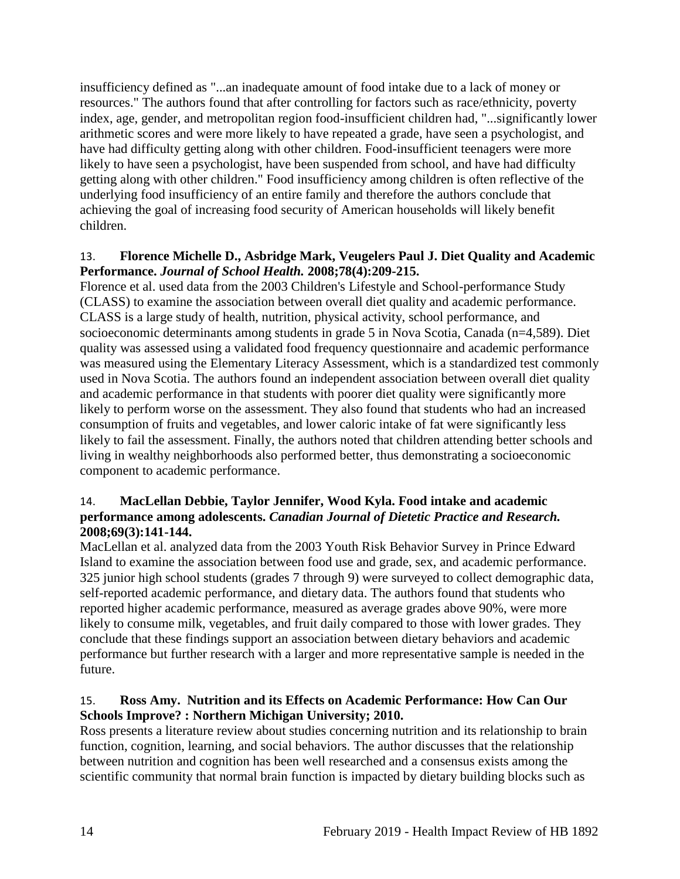insufficiency defined as "...an inadequate amount of food intake due to a lack of money or resources." The authors found that after controlling for factors such as race/ethnicity, poverty index, age, gender, and metropolitan region food-insufficient children had, "...significantly lower arithmetic scores and were more likely to have repeated a grade, have seen a psychologist, and have had difficulty getting along with other children. Food-insufficient teenagers were more likely to have seen a psychologist, have been suspended from school, and have had difficulty getting along with other children." Food insufficiency among children is often reflective of the underlying food insufficiency of an entire family and therefore the authors conclude that achieving the goal of increasing food security of American households will likely benefit children.

#### <span id="page-16-0"></span>13. **Florence Michelle D., Asbridge Mark, Veugelers Paul J. Diet Quality and Academic Performance.** *Journal of School Health.* **2008;78(4):209-215.**

Florence et al. used data from the 2003 Children's Lifestyle and School-performance Study (CLASS) to examine the association between overall diet quality and academic performance. CLASS is a large study of health, nutrition, physical activity, school performance, and socioeconomic determinants among students in grade 5 in Nova Scotia, Canada (n=4,589). Diet quality was assessed using a validated food frequency questionnaire and academic performance was measured using the Elementary Literacy Assessment, which is a standardized test commonly used in Nova Scotia. The authors found an independent association between overall diet quality and academic performance in that students with poorer diet quality were significantly more likely to perform worse on the assessment. They also found that students who had an increased consumption of fruits and vegetables, and lower caloric intake of fat were significantly less likely to fail the assessment. Finally, the authors noted that children attending better schools and living in wealthy neighborhoods also performed better, thus demonstrating a socioeconomic component to academic performance.

#### <span id="page-16-1"></span>14. **MacLellan Debbie, Taylor Jennifer, Wood Kyla. Food intake and academic performance among adolescents.** *Canadian Journal of Dietetic Practice and Research.*  **2008;69(3):141-144.**

MacLellan et al. analyzed data from the 2003 Youth Risk Behavior Survey in Prince Edward Island to examine the association between food use and grade, sex, and academic performance. 325 junior high school students (grades 7 through 9) were surveyed to collect demographic data, self-reported academic performance, and dietary data. The authors found that students who reported higher academic performance, measured as average grades above 90%, were more likely to consume milk, vegetables, and fruit daily compared to those with lower grades. They conclude that these findings support an association between dietary behaviors and academic performance but further research with a larger and more representative sample is needed in the future.

## <span id="page-16-2"></span>15. **Ross Amy. Nutrition and its Effects on Academic Performance: How Can Our Schools Improve? : Northern Michigan University; 2010.**

Ross presents a literature review about studies concerning nutrition and its relationship to brain function, cognition, learning, and social behaviors. The author discusses that the relationship between nutrition and cognition has been well researched and a consensus exists among the scientific community that normal brain function is impacted by dietary building blocks such as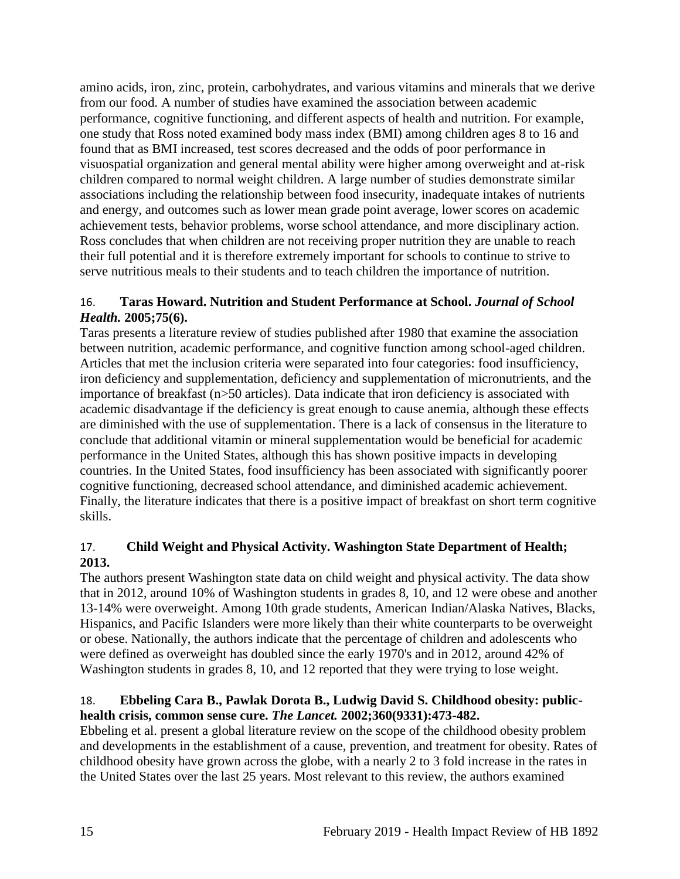amino acids, iron, zinc, protein, carbohydrates, and various vitamins and minerals that we derive from our food. A number of studies have examined the association between academic performance, cognitive functioning, and different aspects of health and nutrition. For example, one study that Ross noted examined body mass index (BMI) among children ages 8 to 16 and found that as BMI increased, test scores decreased and the odds of poor performance in visuospatial organization and general mental ability were higher among overweight and at-risk children compared to normal weight children. A large number of studies demonstrate similar associations including the relationship between food insecurity, inadequate intakes of nutrients and energy, and outcomes such as lower mean grade point average, lower scores on academic achievement tests, behavior problems, worse school attendance, and more disciplinary action. Ross concludes that when children are not receiving proper nutrition they are unable to reach their full potential and it is therefore extremely important for schools to continue to strive to serve nutritious meals to their students and to teach children the importance of nutrition.

## <span id="page-17-2"></span>16. **Taras Howard. Nutrition and Student Performance at School.** *Journal of School Health.* **2005;75(6).**

Taras presents a literature review of studies published after 1980 that examine the association between nutrition, academic performance, and cognitive function among school-aged children. Articles that met the inclusion criteria were separated into four categories: food insufficiency, iron deficiency and supplementation, deficiency and supplementation of micronutrients, and the importance of breakfast (n>50 articles). Data indicate that iron deficiency is associated with academic disadvantage if the deficiency is great enough to cause anemia, although these effects are diminished with the use of supplementation. There is a lack of consensus in the literature to conclude that additional vitamin or mineral supplementation would be beneficial for academic performance in the United States, although this has shown positive impacts in developing countries. In the United States, food insufficiency has been associated with significantly poorer cognitive functioning, decreased school attendance, and diminished academic achievement. Finally, the literature indicates that there is a positive impact of breakfast on short term cognitive skills.

## <span id="page-17-0"></span>17. **Child Weight and Physical Activity. Washington State Department of Health; 2013.**

The authors present Washington state data on child weight and physical activity. The data show that in 2012, around 10% of Washington students in grades 8, 10, and 12 were obese and another 13-14% were overweight. Among 10th grade students, American Indian/Alaska Natives, Blacks, Hispanics, and Pacific Islanders were more likely than their white counterparts to be overweight or obese. Nationally, the authors indicate that the percentage of children and adolescents who were defined as overweight has doubled since the early 1970's and in 2012, around 42% of Washington students in grades 8, 10, and 12 reported that they were trying to lose weight.

## <span id="page-17-1"></span>18. **Ebbeling Cara B., Pawlak Dorota B., Ludwig David S. Childhood obesity: publichealth crisis, common sense cure.** *The Lancet.* **2002;360(9331):473-482.**

Ebbeling et al. present a global literature review on the scope of the childhood obesity problem and developments in the establishment of a cause, prevention, and treatment for obesity. Rates of childhood obesity have grown across the globe, with a nearly 2 to 3 fold increase in the rates in the United States over the last 25 years. Most relevant to this review, the authors examined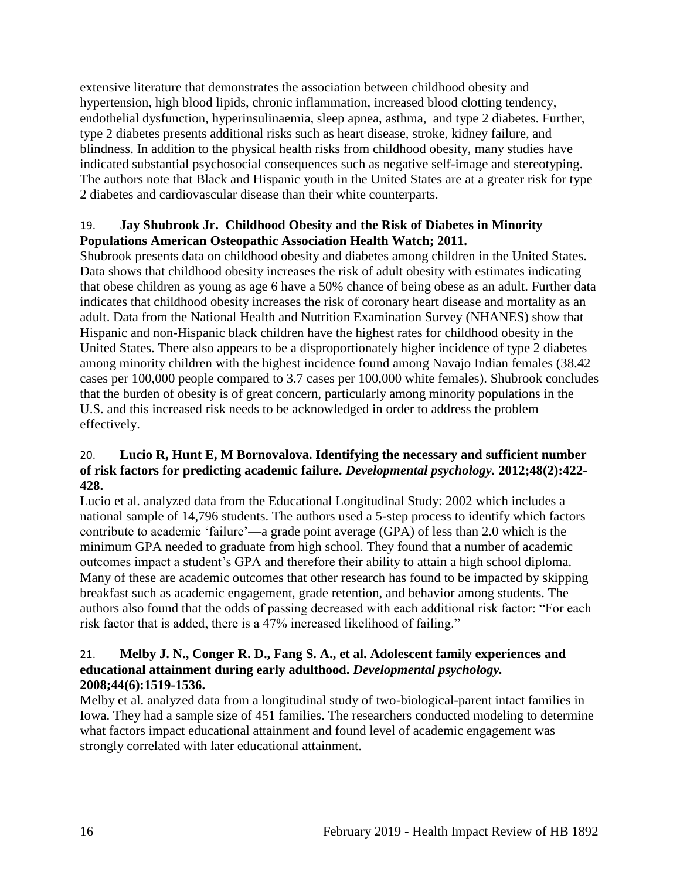extensive literature that demonstrates the association between childhood obesity and hypertension, high blood lipids, chronic inflammation, increased blood clotting tendency, endothelial dysfunction, hyperinsulinaemia, sleep apnea, asthma, and type 2 diabetes. Further, type 2 diabetes presents additional risks such as heart disease, stroke, kidney failure, and blindness. In addition to the physical health risks from childhood obesity, many studies have indicated substantial psychosocial consequences such as negative self-image and stereotyping. The authors note that Black and Hispanic youth in the United States are at a greater risk for type 2 diabetes and cardiovascular disease than their white counterparts.

## 19. **Jay Shubrook Jr. Childhood Obesity and the Risk of Diabetes in Minority Populations American Osteopathic Association Health Watch; 2011.**

Shubrook presents data on childhood obesity and diabetes among children in the United States. Data shows that childhood obesity increases the risk of adult obesity with estimates indicating that obese children as young as age 6 have a 50% chance of being obese as an adult. Further data indicates that childhood obesity increases the risk of coronary heart disease and mortality as an adult. Data from the National Health and Nutrition Examination Survey (NHANES) show that Hispanic and non-Hispanic black children have the highest rates for childhood obesity in the United States. There also appears to be a disproportionately higher incidence of type 2 diabetes among minority children with the highest incidence found among Navajo Indian females (38.42 cases per 100,000 people compared to 3.7 cases per 100,000 white females). Shubrook concludes that the burden of obesity is of great concern, particularly among minority populations in the U.S. and this increased risk needs to be acknowledged in order to address the problem effectively.

## 20. **Lucio R, Hunt E, M Bornovalova. Identifying the necessary and sufficient number of risk factors for predicting academic failure.** *Developmental psychology.* **2012;48(2):422- 428.**

Lucio et al. analyzed data from the Educational Longitudinal Study: 2002 which includes a national sample of 14,796 students. The authors used a 5-step process to identify which factors contribute to academic 'failure'—a grade point average (GPA) of less than 2.0 which is the minimum GPA needed to graduate from high school. They found that a number of academic outcomes impact a student's GPA and therefore their ability to attain a high school diploma. Many of these are academic outcomes that other research has found to be impacted by skipping breakfast such as academic engagement, grade retention, and behavior among students. The authors also found that the odds of passing decreased with each additional risk factor: "For each risk factor that is added, there is a 47% increased likelihood of failing."

#### 21. **Melby J. N., Conger R. D., Fang S. A., et al. Adolescent family experiences and educational attainment during early adulthood.** *Developmental psychology.*  **2008;44(6):1519-1536.**

Melby et al. analyzed data from a longitudinal study of two-biological-parent intact families in Iowa. They had a sample size of 451 families. The researchers conducted modeling to determine what factors impact educational attainment and found level of academic engagement was strongly correlated with later educational attainment.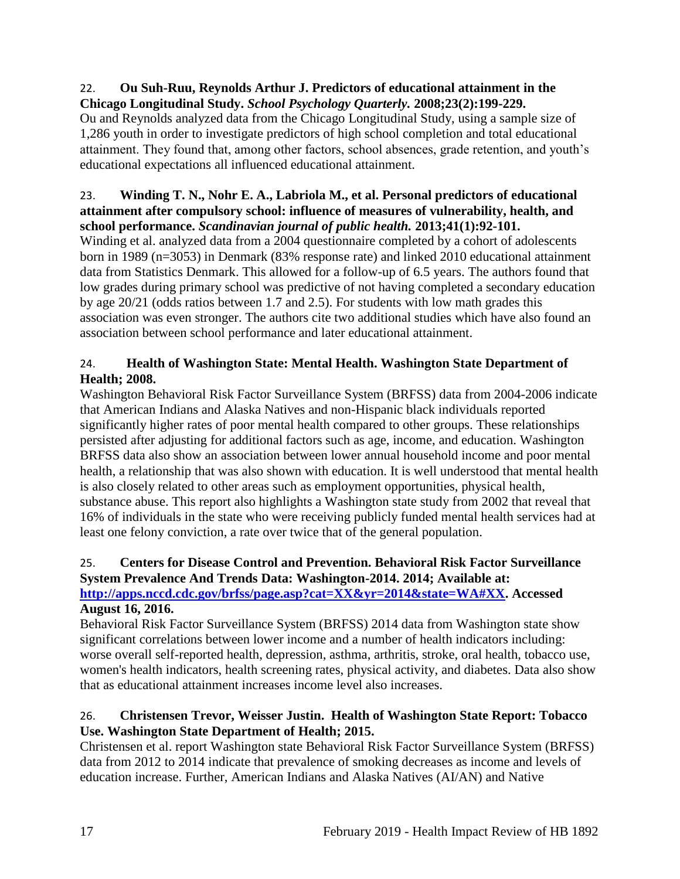#### 22. **Ou Suh-Ruu, Reynolds Arthur J. Predictors of educational attainment in the Chicago Longitudinal Study.** *School Psychology Quarterly.* **2008;23(2):199-229.**

Ou and Reynolds analyzed data from the Chicago Longitudinal Study, using a sample size of 1,286 youth in order to investigate predictors of high school completion and total educational attainment. They found that, among other factors, school absences, grade retention, and youth's educational expectations all influenced educational attainment.

## 23. **Winding T. N., Nohr E. A., Labriola M., et al. Personal predictors of educational attainment after compulsory school: influence of measures of vulnerability, health, and school performance.** *Scandinavian journal of public health.* **2013;41(1):92-101.**

Winding et al. analyzed data from a 2004 questionnaire completed by a cohort of adolescents born in 1989 (n=3053) in Denmark (83% response rate) and linked 2010 educational attainment data from Statistics Denmark. This allowed for a follow-up of 6.5 years. The authors found that low grades during primary school was predictive of not having completed a secondary education by age 20/21 (odds ratios between 1.7 and 2.5). For students with low math grades this association was even stronger. The authors cite two additional studies which have also found an association between school performance and later educational attainment.

# <span id="page-19-1"></span>24. **Health of Washington State: Mental Health. Washington State Department of Health; 2008.**

Washington Behavioral Risk Factor Surveillance System (BRFSS) data from 2004-2006 indicate that American Indians and Alaska Natives and non-Hispanic black individuals reported significantly higher rates of poor mental health compared to other groups. These relationships persisted after adjusting for additional factors such as age, income, and education. Washington BRFSS data also show an association between lower annual household income and poor mental health, a relationship that was also shown with education. It is well understood that mental health is also closely related to other areas such as employment opportunities, physical health, substance abuse. This report also highlights a Washington state study from 2002 that reveal that 16% of individuals in the state who were receiving publicly funded mental health services had at least one felony conviction, a rate over twice that of the general population.

# <span id="page-19-0"></span>25. **Centers for Disease Control and Prevention. Behavioral Risk Factor Surveillance System Prevalence And Trends Data: Washington-2014. 2014; Available at:**

## **[http://apps.nccd.cdc.gov/brfss/page.asp?cat=XX&yr=2014&state=WA#XX.](http://apps.nccd.cdc.gov/brfss/page.asp?cat=XX&yr=2014&state=WA#XX) Accessed August 16, 2016.**

Behavioral Risk Factor Surveillance System (BRFSS) 2014 data from Washington state show significant correlations between lower income and a number of health indicators including: worse overall self-reported health, depression, asthma, arthritis, stroke, oral health, tobacco use, women's health indicators, health screening rates, physical activity, and diabetes. Data also show that as educational attainment increases income level also increases.

# <span id="page-19-2"></span>26. **Christensen Trevor, Weisser Justin. Health of Washington State Report: Tobacco Use. Washington State Department of Health; 2015.**

Christensen et al. report Washington state Behavioral Risk Factor Surveillance System (BRFSS) data from 2012 to 2014 indicate that prevalence of smoking decreases as income and levels of education increase. Further, American Indians and Alaska Natives (AI/AN) and Native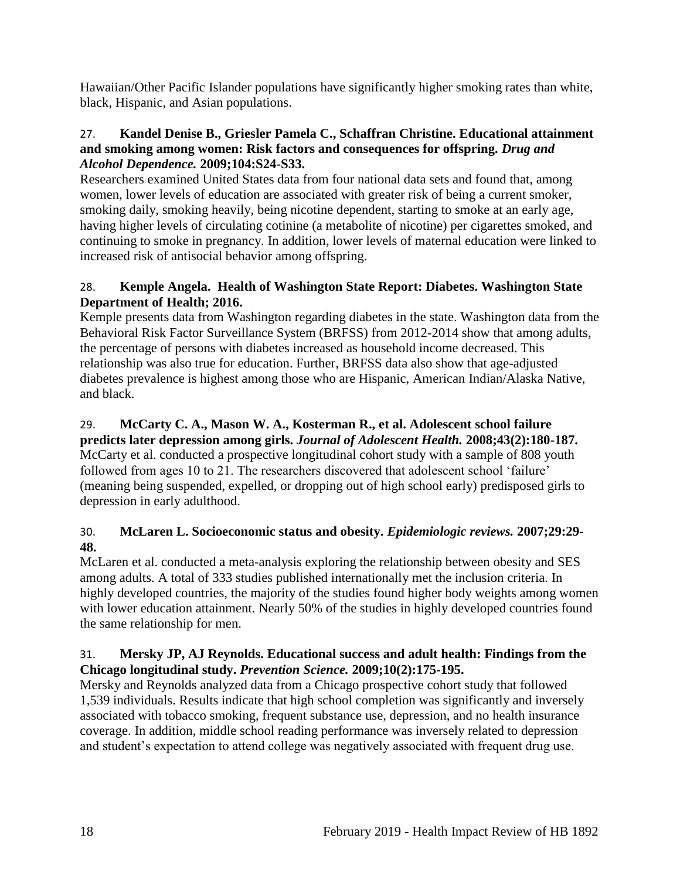Hawaiian/Other Pacific Islander populations have significantly higher smoking rates than white, black, Hispanic, and Asian populations.

## 27. **Kandel Denise B., Griesler Pamela C., Schaffran Christine. Educational attainment and smoking among women: Risk factors and consequences for offspring.** *Drug and Alcohol Dependence.* **2009;104:S24-S33.**

Researchers examined United States data from four national data sets and found that, among women, lower levels of education are associated with greater risk of being a current smoker, smoking daily, smoking heavily, being nicotine dependent, starting to smoke at an early age, having higher levels of circulating cotinine (a metabolite of nicotine) per cigarettes smoked, and continuing to smoke in pregnancy. In addition, lower levels of maternal education were linked to increased risk of antisocial behavior among offspring.

# <span id="page-20-0"></span>28. **Kemple Angela. Health of Washington State Report: Diabetes. Washington State Department of Health; 2016.**

Kemple presents data from Washington regarding diabetes in the state. Washington data from the Behavioral Risk Factor Surveillance System (BRFSS) from 2012-2014 show that among adults, the percentage of persons with diabetes increased as household income decreased. This relationship was also true for education. Further, BRFSS data also show that age-adjusted diabetes prevalence is highest among those who are Hispanic, American Indian/Alaska Native, and black.

# 29. **McCarty C. A., Mason W. A., Kosterman R., et al. Adolescent school failure**

**predicts later depression among girls.** *Journal of Adolescent Health.* **2008;43(2):180-187.** McCarty et al. conducted a prospective longitudinal cohort study with a sample of 808 youth followed from ages 10 to 21. The researchers discovered that adolescent school 'failure' (meaning being suspended, expelled, or dropping out of high school early) predisposed girls to depression in early adulthood.

# 30. **McLaren L. Socioeconomic status and obesity.** *Epidemiologic reviews.* **2007;29:29- 48.**

McLaren et al. conducted a meta-analysis exploring the relationship between obesity and SES among adults. A total of 333 studies published internationally met the inclusion criteria. In highly developed countries, the majority of the studies found higher body weights among women with lower education attainment. Nearly 50% of the studies in highly developed countries found the same relationship for men.

## 31. **Mersky JP, AJ Reynolds. Educational success and adult health: Findings from the Chicago longitudinal study.** *Prevention Science.* **2009;10(2):175-195.**

Mersky and Reynolds analyzed data from a Chicago prospective cohort study that followed 1,539 individuals. Results indicate that high school completion was significantly and inversely associated with tobacco smoking, frequent substance use, depression, and no health insurance coverage. In addition, middle school reading performance was inversely related to depression and student's expectation to attend college was negatively associated with frequent drug use.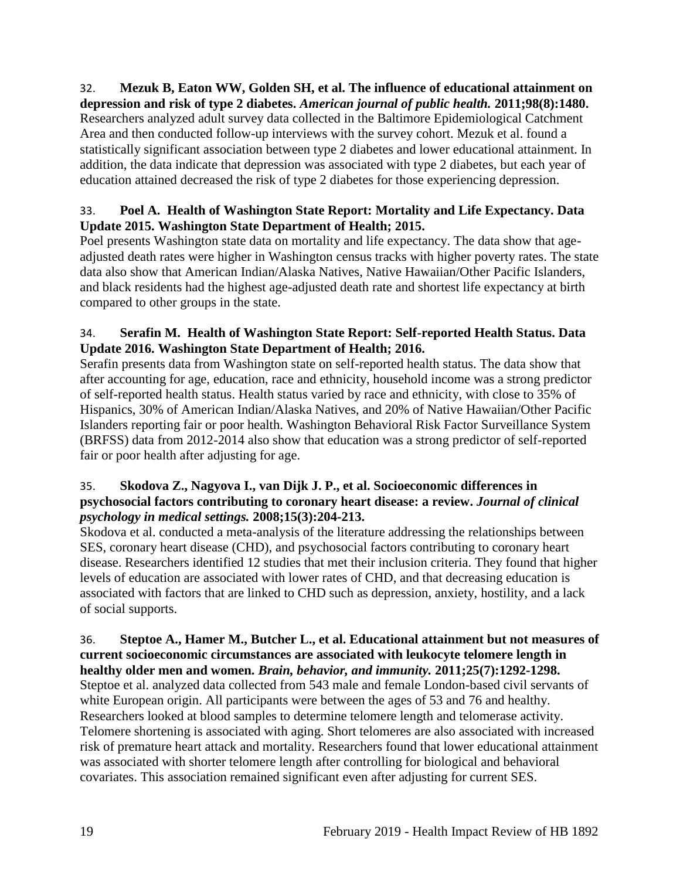#### 32. **Mezuk B, Eaton WW, Golden SH, et al. The influence of educational attainment on depression and risk of type 2 diabetes.** *American journal of public health.* **2011;98(8):1480.** Researchers analyzed adult survey data collected in the Baltimore Epidemiological Catchment Area and then conducted follow-up interviews with the survey cohort. Mezuk et al. found a statistically significant association between type 2 diabetes and lower educational attainment. In addition, the data indicate that depression was associated with type 2 diabetes, but each year of education attained decreased the risk of type 2 diabetes for those experiencing depression.

# <span id="page-21-0"></span>33. **Poel A. Health of Washington State Report: Mortality and Life Expectancy. Data Update 2015. Washington State Department of Health; 2015.**

Poel presents Washington state data on mortality and life expectancy. The data show that ageadjusted death rates were higher in Washington census tracks with higher poverty rates. The state data also show that American Indian/Alaska Natives, Native Hawaiian/Other Pacific Islanders, and black residents had the highest age-adjusted death rate and shortest life expectancy at birth compared to other groups in the state.

# <span id="page-21-1"></span>34. **Serafin M. Health of Washington State Report: Self-reported Health Status. Data Update 2016. Washington State Department of Health; 2016.**

Serafin presents data from Washington state on self-reported health status. The data show that after accounting for age, education, race and ethnicity, household income was a strong predictor of self-reported health status. Health status varied by race and ethnicity, with close to 35% of Hispanics, 30% of American Indian/Alaska Natives, and 20% of Native Hawaiian/Other Pacific Islanders reporting fair or poor health. Washington Behavioral Risk Factor Surveillance System (BRFSS) data from 2012-2014 also show that education was a strong predictor of self-reported fair or poor health after adjusting for age.

## 35. **Skodova Z., Nagyova I., van Dijk J. P., et al. Socioeconomic differences in psychosocial factors contributing to coronary heart disease: a review.** *Journal of clinical psychology in medical settings.* **2008;15(3):204-213.**

Skodova et al. conducted a meta-analysis of the literature addressing the relationships between SES, coronary heart disease (CHD), and psychosocial factors contributing to coronary heart disease. Researchers identified 12 studies that met their inclusion criteria. They found that higher levels of education are associated with lower rates of CHD, and that decreasing education is associated with factors that are linked to CHD such as depression, anxiety, hostility, and a lack of social supports.

#### 36. **Steptoe A., Hamer M., Butcher L., et al. Educational attainment but not measures of current socioeconomic circumstances are associated with leukocyte telomere length in healthy older men and women.** *Brain, behavior, and immunity.* **2011;25(7):1292-1298.**

Steptoe et al. analyzed data collected from 543 male and female London-based civil servants of white European origin. All participants were between the ages of 53 and 76 and healthy. Researchers looked at blood samples to determine telomere length and telomerase activity. Telomere shortening is associated with aging. Short telomeres are also associated with increased risk of premature heart attack and mortality. Researchers found that lower educational attainment was associated with shorter telomere length after controlling for biological and behavioral covariates. This association remained significant even after adjusting for current SES.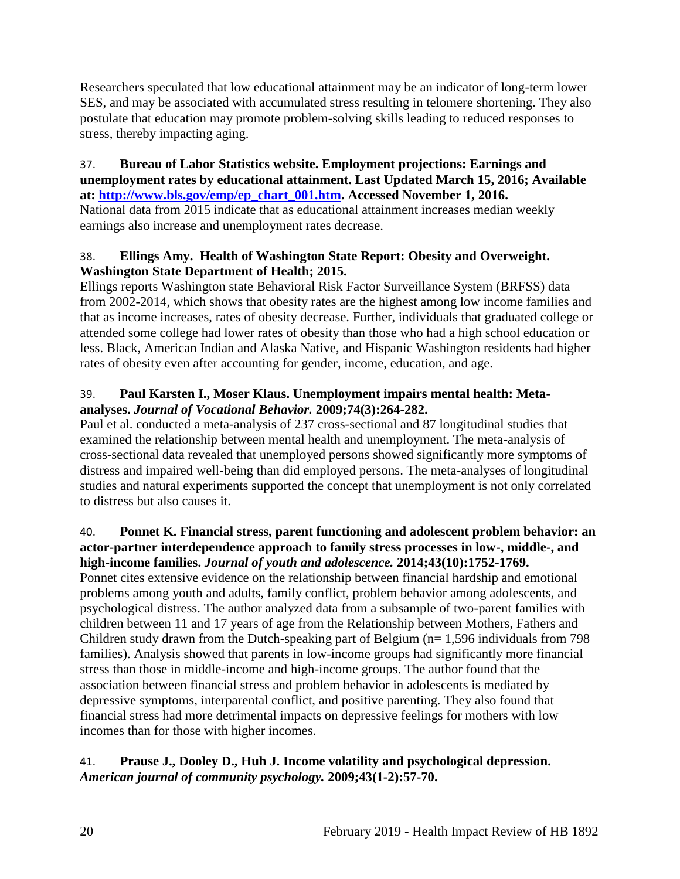Researchers speculated that low educational attainment may be an indicator of long-term lower SES, and may be associated with accumulated stress resulting in telomere shortening. They also postulate that education may promote problem-solving skills leading to reduced responses to stress, thereby impacting aging.

### <span id="page-22-0"></span>37. **Bureau of Labor Statistics website. Employment projections: Earnings and unemployment rates by educational attainment. Last Updated March 15, 2016; Available at: [http://www.bls.gov/emp/ep\\_chart\\_001.htm.](http://www.bls.gov/emp/ep_chart_001.htm) Accessed November 1, 2016.**

National data from 2015 indicate that as educational attainment increases median weekly earnings also increase and unemployment rates decrease.

# <span id="page-22-1"></span>38. **Ellings Amy. Health of Washington State Report: Obesity and Overweight. Washington State Department of Health; 2015.**

Ellings reports Washington state Behavioral Risk Factor Surveillance System (BRFSS) data from 2002-2014, which shows that obesity rates are the highest among low income families and that as income increases, rates of obesity decrease. Further, individuals that graduated college or attended some college had lower rates of obesity than those who had a high school education or less. Black, American Indian and Alaska Native, and Hispanic Washington residents had higher rates of obesity even after accounting for gender, income, education, and age.

# 39. **Paul Karsten I., Moser Klaus. Unemployment impairs mental health: Metaanalyses.** *Journal of Vocational Behavior.* **2009;74(3):264-282.**

Paul et al. conducted a meta-analysis of 237 cross-sectional and 87 longitudinal studies that examined the relationship between mental health and unemployment. The meta-analysis of cross-sectional data revealed that unemployed persons showed significantly more symptoms of distress and impaired well-being than did employed persons. The meta-analyses of longitudinal studies and natural experiments supported the concept that unemployment is not only correlated to distress but also causes it.

# 40. **Ponnet K. Financial stress, parent functioning and adolescent problem behavior: an actor-partner interdependence approach to family stress processes in low-, middle-, and high-income families.** *Journal of youth and adolescence.* **2014;43(10):1752-1769.**

Ponnet cites extensive evidence on the relationship between financial hardship and emotional problems among youth and adults, family conflict, problem behavior among adolescents, and psychological distress. The author analyzed data from a subsample of two-parent families with children between 11 and 17 years of age from the Relationship between Mothers, Fathers and Children study drawn from the Dutch-speaking part of Belgium (n= 1,596 individuals from 798 families). Analysis showed that parents in low-income groups had significantly more financial stress than those in middle-income and high-income groups. The author found that the association between financial stress and problem behavior in adolescents is mediated by depressive symptoms, interparental conflict, and positive parenting. They also found that financial stress had more detrimental impacts on depressive feelings for mothers with low incomes than for those with higher incomes.

# <span id="page-22-2"></span>41. **Prause J., Dooley D., Huh J. Income volatility and psychological depression.**  *American journal of community psychology.* **2009;43(1-2):57-70.**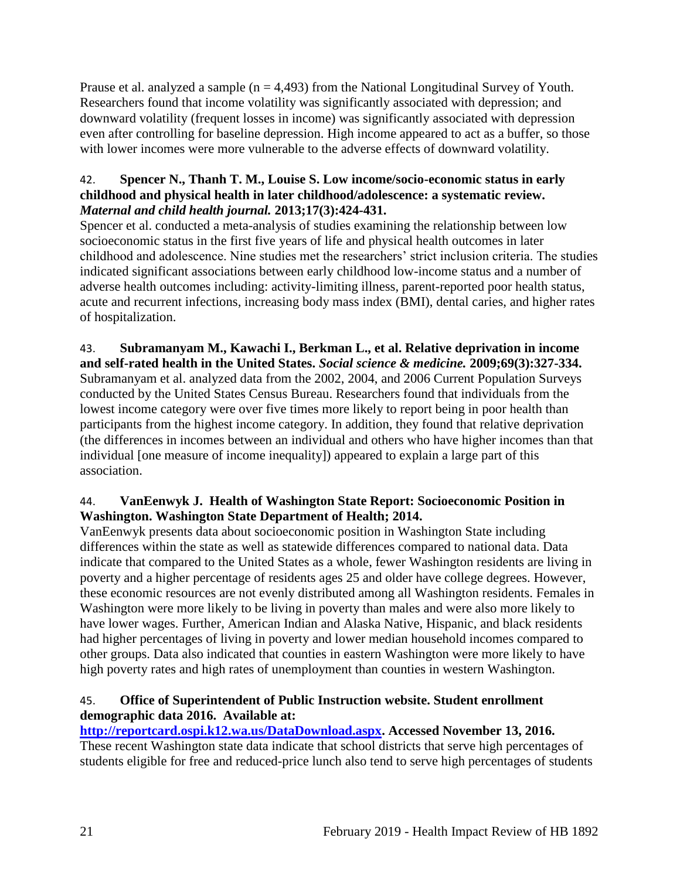Prause et al. analyzed a sample  $(n = 4.493)$  from the National Longitudinal Survey of Youth. Researchers found that income volatility was significantly associated with depression; and downward volatility (frequent losses in income) was significantly associated with depression even after controlling for baseline depression. High income appeared to act as a buffer, so those with lower incomes were more vulnerable to the adverse effects of downward volatility.

## 42. **Spencer N., Thanh T. M., Louise S. Low income/socio-economic status in early childhood and physical health in later childhood/adolescence: a systematic review.**  *Maternal and child health journal.* **2013;17(3):424-431.**

Spencer et al. conducted a meta-analysis of studies examining the relationship between low socioeconomic status in the first five years of life and physical health outcomes in later childhood and adolescence. Nine studies met the researchers' strict inclusion criteria. The studies indicated significant associations between early childhood low-income status and a number of adverse health outcomes including: activity-limiting illness, parent-reported poor health status, acute and recurrent infections, increasing body mass index (BMI), dental caries, and higher rates of hospitalization.

<span id="page-23-0"></span>43. **Subramanyam M., Kawachi I., Berkman L., et al. Relative deprivation in income and self-rated health in the United States.** *Social science & medicine.* **2009;69(3):327-334.** Subramanyam et al. analyzed data from the 2002, 2004, and 2006 Current Population Surveys conducted by the United States Census Bureau. Researchers found that individuals from the lowest income category were over five times more likely to report being in poor health than participants from the highest income category. In addition, they found that relative deprivation (the differences in incomes between an individual and others who have higher incomes than that individual [one measure of income inequality]) appeared to explain a large part of this association.

# 44. **VanEenwyk J. Health of Washington State Report: Socioeconomic Position in Washington. Washington State Department of Health; 2014.**

VanEenwyk presents data about socioeconomic position in Washington State including differences within the state as well as statewide differences compared to national data. Data indicate that compared to the United States as a whole, fewer Washington residents are living in poverty and a higher percentage of residents ages 25 and older have college degrees. However, these economic resources are not evenly distributed among all Washington residents. Females in Washington were more likely to be living in poverty than males and were also more likely to have lower wages. Further, American Indian and Alaska Native, Hispanic, and black residents had higher percentages of living in poverty and lower median household incomes compared to other groups. Data also indicated that counties in eastern Washington were more likely to have high poverty rates and high rates of unemployment than counties in western Washington.

# 45. **Office of Superintendent of Public Instruction website. Student enrollment demographic data 2016. Available at:**

**[http://reportcard.ospi.k12.wa.us/DataDownload.aspx.](http://reportcard.ospi.k12.wa.us/DataDownload.aspx) Accessed November 13, 2016.**

These recent Washington state data indicate that school districts that serve high percentages of students eligible for free and reduced-price lunch also tend to serve high percentages of students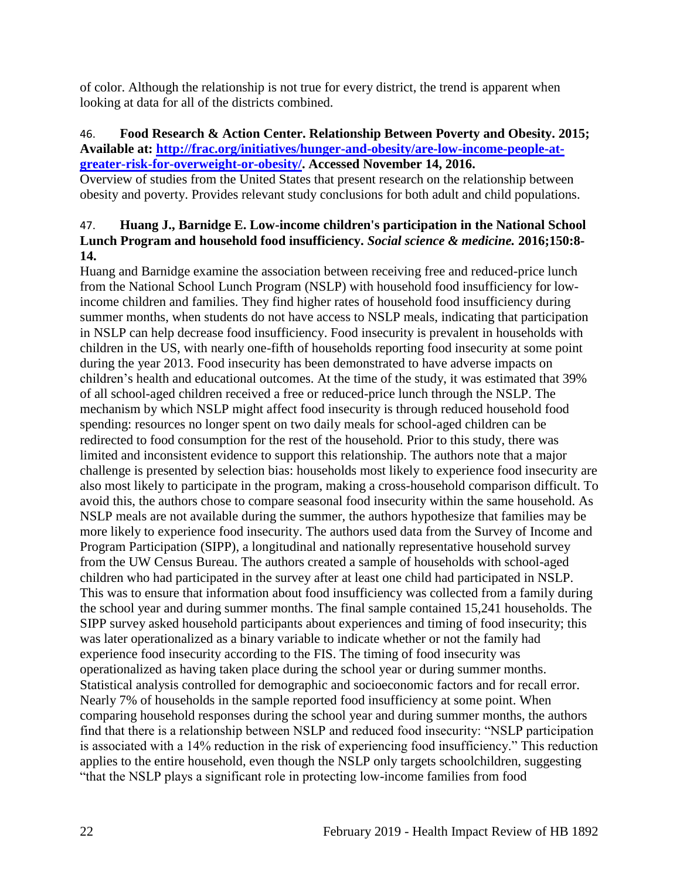of color. Although the relationship is not true for every district, the trend is apparent when looking at data for all of the districts combined.

#### <span id="page-24-0"></span>46. **Food Research & Action Center. Relationship Between Poverty and Obesity. 2015; Available at: [http://frac.org/initiatives/hunger-and-obesity/are-low-income-people-at](http://frac.org/initiatives/hunger-and-obesity/are-low-income-people-at-greater-risk-for-overweight-or-obesity/)[greater-risk-for-overweight-or-obesity/.](http://frac.org/initiatives/hunger-and-obesity/are-low-income-people-at-greater-risk-for-overweight-or-obesity/) Accessed November 14, 2016.**

Overview of studies from the United States that present research on the relationship between obesity and poverty. Provides relevant study conclusions for both adult and child populations.

## 47. **Huang J., Barnidge E. Low-income children's participation in the National School Lunch Program and household food insufficiency.** *Social science & medicine.* **2016;150:8- 14.**

Huang and Barnidge examine the association between receiving free and reduced-price lunch from the National School Lunch Program (NSLP) with household food insufficiency for lowincome children and families. They find higher rates of household food insufficiency during summer months, when students do not have access to NSLP meals, indicating that participation in NSLP can help decrease food insufficiency. Food insecurity is prevalent in households with children in the US, with nearly one-fifth of households reporting food insecurity at some point during the year 2013. Food insecurity has been demonstrated to have adverse impacts on children's health and educational outcomes. At the time of the study, it was estimated that 39% of all school-aged children received a free or reduced-price lunch through the NSLP. The mechanism by which NSLP might affect food insecurity is through reduced household food spending: resources no longer spent on two daily meals for school-aged children can be redirected to food consumption for the rest of the household. Prior to this study, there was limited and inconsistent evidence to support this relationship. The authors note that a major challenge is presented by selection bias: households most likely to experience food insecurity are also most likely to participate in the program, making a cross-household comparison difficult. To avoid this, the authors chose to compare seasonal food insecurity within the same household. As NSLP meals are not available during the summer, the authors hypothesize that families may be more likely to experience food insecurity. The authors used data from the Survey of Income and Program Participation (SIPP), a longitudinal and nationally representative household survey from the UW Census Bureau. The authors created a sample of households with school-aged children who had participated in the survey after at least one child had participated in NSLP. This was to ensure that information about food insufficiency was collected from a family during the school year and during summer months. The final sample contained 15,241 households. The SIPP survey asked household participants about experiences and timing of food insecurity; this was later operationalized as a binary variable to indicate whether or not the family had experience food insecurity according to the FIS. The timing of food insecurity was operationalized as having taken place during the school year or during summer months. Statistical analysis controlled for demographic and socioeconomic factors and for recall error. Nearly 7% of households in the sample reported food insufficiency at some point. When comparing household responses during the school year and during summer months, the authors find that there is a relationship between NSLP and reduced food insecurity: "NSLP participation is associated with a 14% reduction in the risk of experiencing food insufficiency." This reduction applies to the entire household, even though the NSLP only targets schoolchildren, suggesting "that the NSLP plays a significant role in protecting low-income families from food